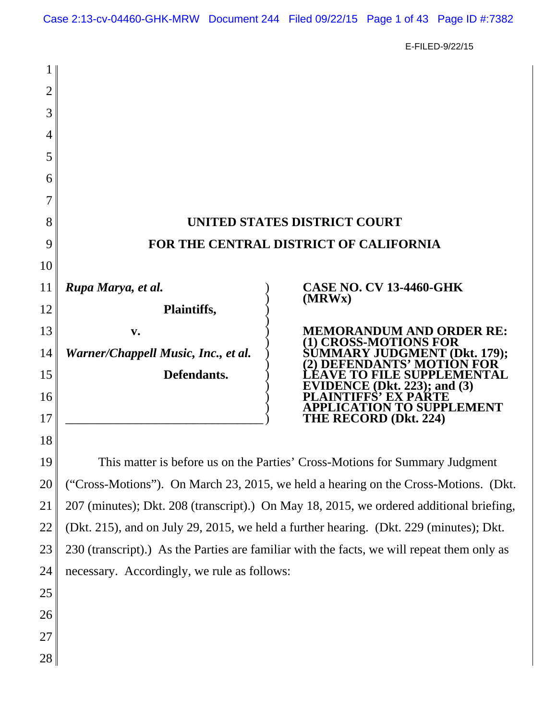Case 2:13-cv-04460-GHK-MRW Document 244 Filed 09/22/15 Page 1 of 43 Page ID #:7382

E-FILED-9/22/15

| 2        |                                                                                                                                                                                |                                                                                          |  |
|----------|--------------------------------------------------------------------------------------------------------------------------------------------------------------------------------|------------------------------------------------------------------------------------------|--|
| 3        |                                                                                                                                                                                |                                                                                          |  |
| 4        |                                                                                                                                                                                |                                                                                          |  |
| 5        |                                                                                                                                                                                |                                                                                          |  |
| 6        |                                                                                                                                                                                |                                                                                          |  |
| 7        |                                                                                                                                                                                |                                                                                          |  |
| 8        | UNITED STATES DISTRICT COURT                                                                                                                                                   |                                                                                          |  |
| 9        | FOR THE CENTRAL DISTRICT OF CALIFORNIA                                                                                                                                         |                                                                                          |  |
| 10       |                                                                                                                                                                                |                                                                                          |  |
| 11       | Rupa Marya, et al.                                                                                                                                                             | <b>CASE NO. CV 13-4460-GHK</b><br>(MRWx)                                                 |  |
| 12       | Plaintiffs,                                                                                                                                                                    |                                                                                          |  |
| 13       | v.                                                                                                                                                                             | <b>MEMORANDUM AND ORDER RE:</b><br>(1) CROSS-MOTIONS FOR<br>SUMMARY JUDGMENT (Dkt. 179); |  |
| 14       | Warner/Chappell Music, Inc., et al.                                                                                                                                            | DANTS' MOTION FOR                                                                        |  |
| 15       | Defendants.                                                                                                                                                                    | <b>LEAVE TO FILE SUPPLEMENTAL</b><br>EVIDENCE (Dkt. 223); and $(3)$                      |  |
| 16       |                                                                                                                                                                                | FFS' EX PARTE<br>APPLICATION TO SUPPLEMENT<br>THE RECORD (Dkt. 224)                      |  |
| 17<br>18 |                                                                                                                                                                                |                                                                                          |  |
| 19       |                                                                                                                                                                                |                                                                                          |  |
| 20       | This matter is before us on the Parties' Cross-Motions for Summary Judgment                                                                                                    |                                                                                          |  |
| 21       | ("Cross-Motions"). On March 23, 2015, we held a hearing on the Cross-Motions. (Dkt.<br>207 (minutes); Dkt. 208 (transcript).) On May 18, 2015, we ordered additional briefing, |                                                                                          |  |
| 22       | (Dkt. 215), and on July 29, 2015, we held a further hearing. (Dkt. 229 (minutes); Dkt.                                                                                         |                                                                                          |  |
| 23       | 230 (transcript).) As the Parties are familiar with the facts, we will repeat them only as                                                                                     |                                                                                          |  |
| 24       | necessary. Accordingly, we rule as follows:                                                                                                                                    |                                                                                          |  |
| 25       |                                                                                                                                                                                |                                                                                          |  |
| 26       |                                                                                                                                                                                |                                                                                          |  |
| 27       |                                                                                                                                                                                |                                                                                          |  |
| 28       |                                                                                                                                                                                |                                                                                          |  |
|          |                                                                                                                                                                                |                                                                                          |  |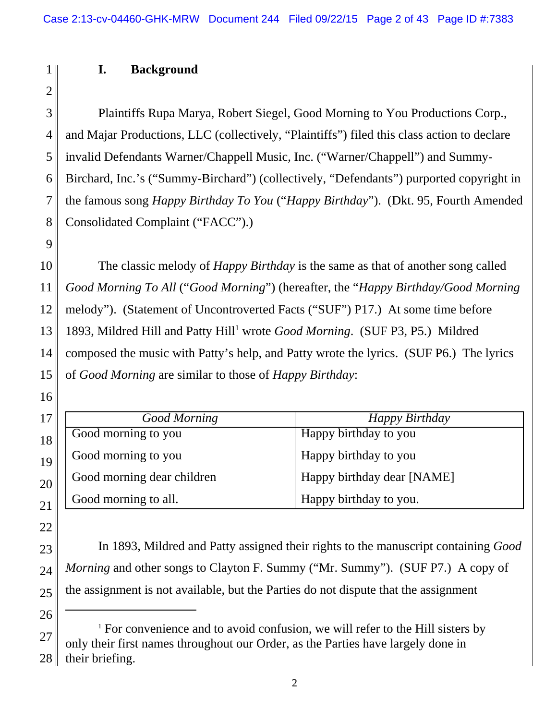# **I. Background**

2 3

9

1

4 5 6 7 8 Plaintiffs Rupa Marya, Robert Siegel, Good Morning to You Productions Corp., and Majar Productions, LLC (collectively, "Plaintiffs") filed this class action to declare invalid Defendants Warner/Chappell Music, Inc. ("Warner/Chappell") and Summy-Birchard, Inc.'s ("Summy-Birchard") (collectively, "Defendants") purported copyright in the famous song *Happy Birthday To You* ("*Happy Birthday*"). (Dkt. 95, Fourth Amended Consolidated Complaint ("FACC").)

10 11 12 13 14 15 The classic melody of *Happy Birthday* is the same as that of another song called *Good Morning To All* ("*Good Morning*") (hereafter, the "*Happy Birthday/Good Morning* melody"). (Statement of Uncontroverted Facts ("SUF") P17.) At some time before 1893, Mildred Hill and Patty Hill<sup>1</sup> wrote *Good Morning*. (SUF P3, P5.) Mildred composed the music with Patty's help, and Patty wrote the lyrics. (SUF P6.) The lyrics of *Good Morning* are similar to those of *Happy Birthday*:

16

22

26

| 17 | <b>Good Morning</b>        | Happy Birthday             |
|----|----------------------------|----------------------------|
| 18 | Good morning to you        | Happy birthday to you      |
| 19 | Good morning to you        | Happy birthday to you      |
| 20 | Good morning dear children | Happy birthday dear [NAME] |
|    | Good morning to all.       | Happy birthday to you.     |

23 24 25 In 1893, Mildred and Patty assigned their rights to the manuscript containing *Good Morning* and other songs to Clayton F. Summy ("Mr. Summy"). (SUF P7.) A copy of the assignment is not available, but the Parties do not dispute that the assignment

<sup>27</sup> 28 <sup>1</sup> For convenience and to avoid confusion, we will refer to the Hill sisters by only their first names throughout our Order, as the Parties have largely done in their briefing.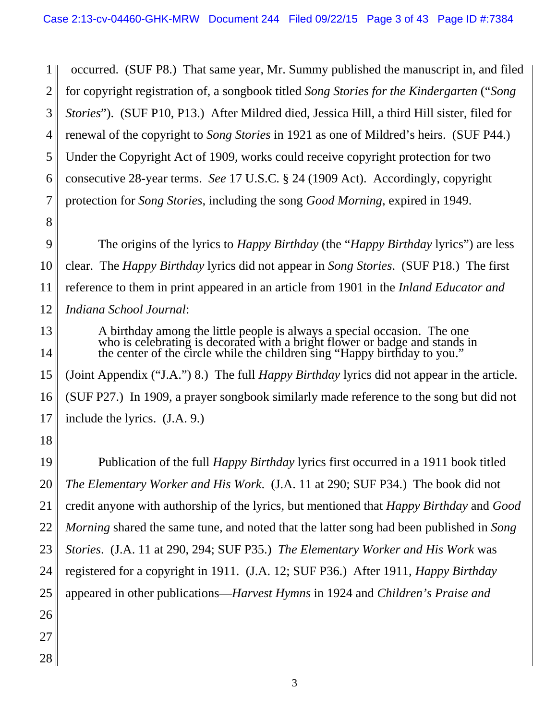1 2 3 4 5 6 7 occurred. (SUF P8.) That same year, Mr. Summy published the manuscript in, and filed for copyright registration of, a songbook titled *Song Stories for the Kindergarten* ("*Song Stories*"). (SUF P10, P13.) After Mildred died, Jessica Hill, a third Hill sister, filed for renewal of the copyright to *Song Stories* in 1921 as one of Mildred's heirs. (SUF P44.) Under the Copyright Act of 1909, works could receive copyright protection for two consecutive 28-year terms. *See* 17 U.S.C. § 24 (1909 Act). Accordingly, copyright protection for *Song Stories*, including the song *Good Morning*, expired in 1949.

- 9 10 11 12 The origins of the lyrics to *Happy Birthday* (the "*Happy Birthday* lyrics") are less clear. The *Happy Birthday* lyrics did not appear in *Song Stories*. (SUF P18.) The first reference to them in print appeared in an article from 1901 in the *Inland Educator and Indiana School Journal*:
- 13 14 15 16 A birthday among the little people is always a special occasion. The one who is celebrating is decorated with a bright flower or badge and stands in the center of the circle while the children sing "Happy birthday to you." (Joint Appendix ("J.A.") 8.) The full *Happy Birthday* lyrics did not appear in the article. (SUF P27.) In 1909, a prayer songbook similarly made reference to the song but did not
- 17 include the lyrics. (J.A. 9.)
- 18

8

19 20 21 22 23 24 25 26 27 Publication of the full *Happy Birthday* lyrics first occurred in a 1911 book titled *The Elementary Worker and His Work*. (J.A. 11 at 290; SUF P34.) The book did not credit anyone with authorship of the lyrics, but mentioned that *Happy Birthday* and *Good Morning* shared the same tune*,* and noted that the latter song had been published in *Song Stories*. (J.A. 11 at 290, 294; SUF P35.) *The Elementary Worker and His Work* was registered for a copyright in 1911. (J.A. 12; SUF P36.) After 1911, *Happy Birthday* appeared in other publications—*Harvest Hymns* in 1924 and *Children's Praise and*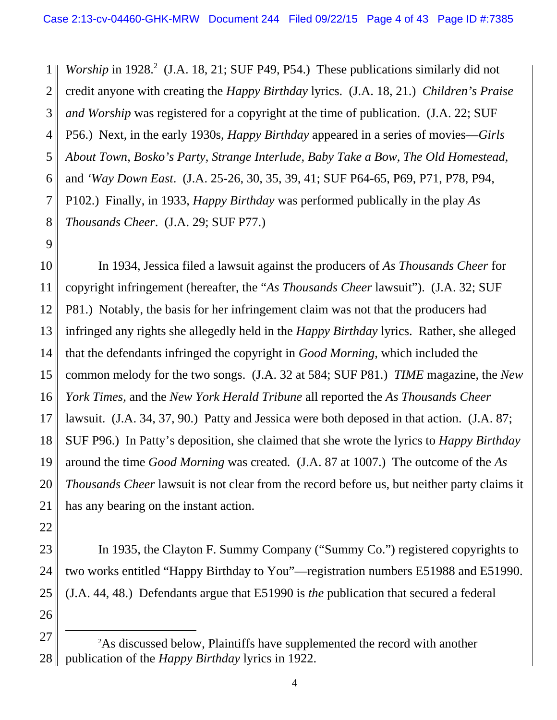1 2 3 4 5 6 7 8 *Worship* in 1928.<sup>2</sup> (J.A. 18, 21; SUF P49, P54.) These publications similarly did not credit anyone with creating the *Happy Birthday* lyrics. (J.A. 18, 21.) *Children's Praise and Worship* was registered for a copyright at the time of publication. (J.A. 22; SUF P56.) Next, in the early 1930s, *Happy Birthday* appeared in a series of movies—*Girls About Town*, *Bosko's Party*, *Strange Interlude*, *Baby Take a Bow*, *The Old Homestead*, and *'Way Down East*. (J.A. 25-26, 30, 35, 39, 41; SUF P64-65, P69, P71, P78, P94, P102.) Finally, in 1933, *Happy Birthday* was performed publically in the play *As Thousands Cheer*. (J.A. 29; SUF P77.)

9

10 11 12 13 14 15 16 17 18 19 20 21 In 1934, Jessica filed a lawsuit against the producers of *As Thousands Cheer* for copyright infringement (hereafter, the "*As Thousands Cheer* lawsuit"). (J.A. 32; SUF P81.) Notably, the basis for her infringement claim was not that the producers had infringed any rights she allegedly held in the *Happy Birthday* lyrics. Rather, she alleged that the defendants infringed the copyright in *Good Morning*, which included the common melody for the two songs. (J.A. 32 at 584; SUF P81.) *TIME* magazine, the *New York Times*, and the *New York Herald Tribune* all reported the *As Thousands Cheer* lawsuit. (J.A. 34, 37, 90.) Patty and Jessica were both deposed in that action. (J.A. 87; SUF P96.) In Patty's deposition, she claimed that she wrote the lyrics to *Happy Birthday* around the time *Good Morning* was created*.* (J.A. 87 at 1007.) The outcome of the *As Thousands Cheer* lawsuit is not clear from the record before us, but neither party claims it has any bearing on the instant action.

22

23 24 25 26 In 1935, the Clayton F. Summy Company ("Summy Co.") registered copyrights to two works entitled "Happy Birthday to You"—registration numbers E51988 and E51990. (J.A. 44, 48.) Defendants argue that E51990 is *the* publication that secured a federal

27 28 2 As discussed below, Plaintiffs have supplemented the record with another publication of the *Happy Birthday* lyrics in 1922.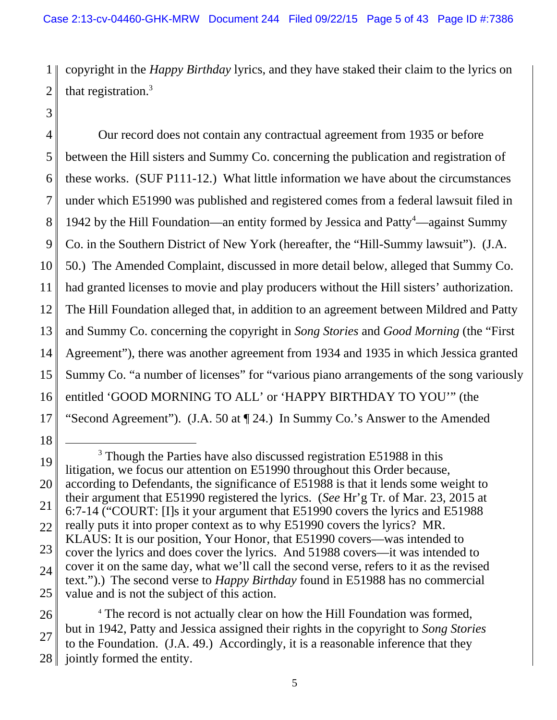1 2 copyright in the *Happy Birthday* lyrics, and they have staked their claim to the lyrics on that registration. $3$ 

4 5 6 7 8 9 10 11 12 13 14 15 16 17 Our record does not contain any contractual agreement from 1935 or before between the Hill sisters and Summy Co. concerning the publication and registration of these works. (SUF P111-12.) What little information we have about the circumstances under which E51990 was published and registered comes from a federal lawsuit filed in 1942 by the Hill Foundation—an entity formed by Jessica and Patty<sup>4</sup>—against Summy Co. in the Southern District of New York (hereafter, the "Hill-Summy lawsuit"). (J.A. 50.) The Amended Complaint, discussed in more detail below, alleged that Summy Co. had granted licenses to movie and play producers without the Hill sisters' authorization. The Hill Foundation alleged that, in addition to an agreement between Mildred and Patty and Summy Co. concerning the copyright in *Song Stories* and *Good Morning* (the "First Agreement"), there was another agreement from 1934 and 1935 in which Jessica granted Summy Co. "a number of licenses" for "various piano arrangements of the song variously entitled 'GOOD MORNING TO ALL' or 'HAPPY BIRTHDAY TO YOU'" (the "Second Agreement"). (J.A. 50 at ¶ 24.) In Summy Co.'s Answer to the Amended

18

<sup>19</sup> 20 21 22 23 24 25 <sup>3</sup> Though the Parties have also discussed registration E51988 in this litigation, we focus our attention on E51990 throughout this Order because, according to Defendants, the significance of E51988 is that it lends some weight to their argument that E51990 registered the lyrics. (*See* Hr'g Tr. of Mar. 23, 2015 at 6:7-14 ("COURT: [I]s it your argument that E51990 covers the lyrics and E51988 really puts it into proper context as to why E51990 covers the lyrics? MR. KLAUS: It is our position, Your Honor, that E51990 covers—was intended to cover the lyrics and does cover the lyrics. And 51988 covers—it was intended to cover it on the same day, what we'll call the second verse, refers to it as the revised text.").) The second verse to *Happy Birthday* found in E51988 has no commercial value and is not the subject of this action.

<sup>26</sup> 27 28 <sup>4</sup> The record is not actually clear on how the Hill Foundation was formed, but in 1942, Patty and Jessica assigned their rights in the copyright to *Song Stories* to the Foundation. (J.A. 49.) Accordingly, it is a reasonable inference that they jointly formed the entity.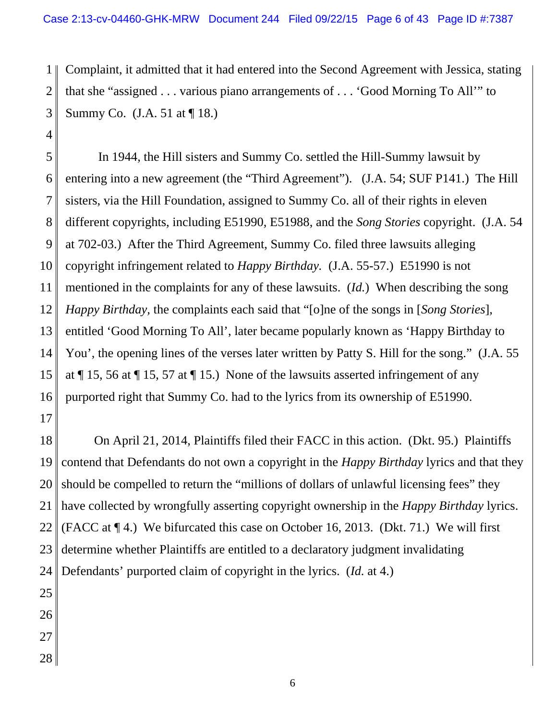1 2 3 Complaint, it admitted that it had entered into the Second Agreement with Jessica, stating that she "assigned . . . various piano arrangements of . . . 'Good Morning To All'" to Summy Co. (J.A. 51 at ¶ 18.)

5 6 7 8 9 10 11 12 13 14 15 16 In 1944, the Hill sisters and Summy Co. settled the Hill-Summy lawsuit by entering into a new agreement (the "Third Agreement"). (J.A. 54; SUF P141.) The Hill sisters, via the Hill Foundation, assigned to Summy Co. all of their rights in eleven different copyrights, including E51990, E51988, and the *Song Stories* copyright. (J.A. 54 at 702-03.) After the Third Agreement, Summy Co. filed three lawsuits alleging copyright infringement related to *Happy Birthday.* (J.A. 55-57.) E51990 is not mentioned in the complaints for any of these lawsuits. (*Id.*) When describing the song *Happy Birthday,* the complaints each said that "[o]ne of the songs in [*Song Stories*], entitled 'Good Morning To All', later became popularly known as 'Happy Birthday to You', the opening lines of the verses later written by Patty S. Hill for the song." (J.A. 55 at ¶ 15, 56 at ¶ 15, 57 at ¶ 15.) None of the lawsuits asserted infringement of any purported right that Summy Co. had to the lyrics from its ownership of E51990.

17

4

18 19 20 21 22 23 24 On April 21, 2014, Plaintiffs filed their FACC in this action. (Dkt. 95.) Plaintiffs contend that Defendants do not own a copyright in the *Happy Birthday* lyrics and that they should be compelled to return the "millions of dollars of unlawful licensing fees" they have collected by wrongfully asserting copyright ownership in the *Happy Birthday* lyrics. (FACC at ¶ 4.) We bifurcated this case on October 16, 2013. (Dkt. 71.) We will first determine whether Plaintiffs are entitled to a declaratory judgment invalidating Defendants' purported claim of copyright in the lyrics. (*Id.* at 4.)

- 25
- 26
- 27
- 28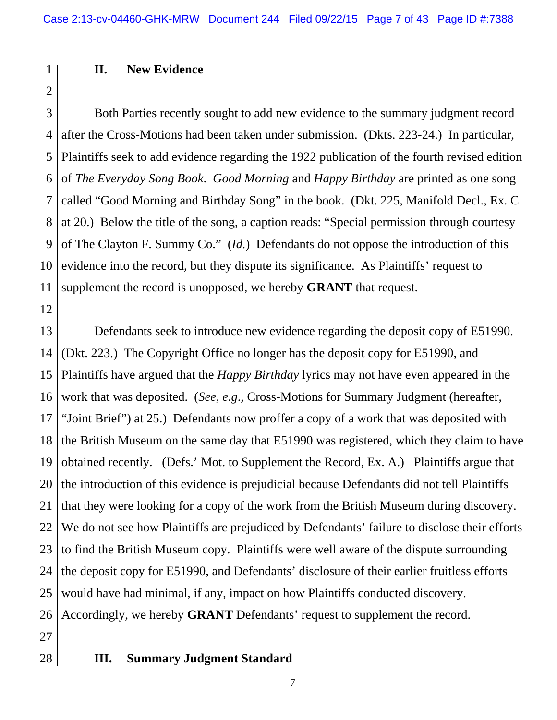# **II. New Evidence**

2

1

3 4 5 6 7 8 9 10 11 Both Parties recently sought to add new evidence to the summary judgment record after the Cross-Motions had been taken under submission. (Dkts. 223-24.) In particular, Plaintiffs seek to add evidence regarding the 1922 publication of the fourth revised edition of *The Everyday Song Book*. *Good Morning* and *Happy Birthday* are printed as one song called "Good Morning and Birthday Song" in the book. (Dkt. 225, Manifold Decl., Ex. C at 20.) Below the title of the song, a caption reads: "Special permission through courtesy of The Clayton F. Summy Co." (*Id.*) Defendants do not oppose the introduction of this evidence into the record, but they dispute its significance. As Plaintiffs' request to supplement the record is unopposed, we hereby **GRANT** that request.

12

13 14 15 16 17 18 19 20 21 22 23 24 25 26 Defendants seek to introduce new evidence regarding the deposit copy of E51990. (Dkt. 223.) The Copyright Office no longer has the deposit copy for E51990, and Plaintiffs have argued that the *Happy Birthday* lyrics may not have even appeared in the work that was deposited. (*See, e.g*., Cross-Motions for Summary Judgment (hereafter, "Joint Brief") at 25.) Defendants now proffer a copy of a work that was deposited with the British Museum on the same day that E51990 was registered, which they claim to have obtained recently. (Defs.' Mot. to Supplement the Record, Ex. A.) Plaintiffs argue that the introduction of this evidence is prejudicial because Defendants did not tell Plaintiffs that they were looking for a copy of the work from the British Museum during discovery. We do not see how Plaintiffs are prejudiced by Defendants' failure to disclose their efforts to find the British Museum copy. Plaintiffs were well aware of the dispute surrounding the deposit copy for E51990, and Defendants' disclosure of their earlier fruitless efforts would have had minimal, if any, impact on how Plaintiffs conducted discovery. Accordingly, we hereby **GRANT** Defendants' request to supplement the record.

27

#### 28 **III. Summary Judgment Standard**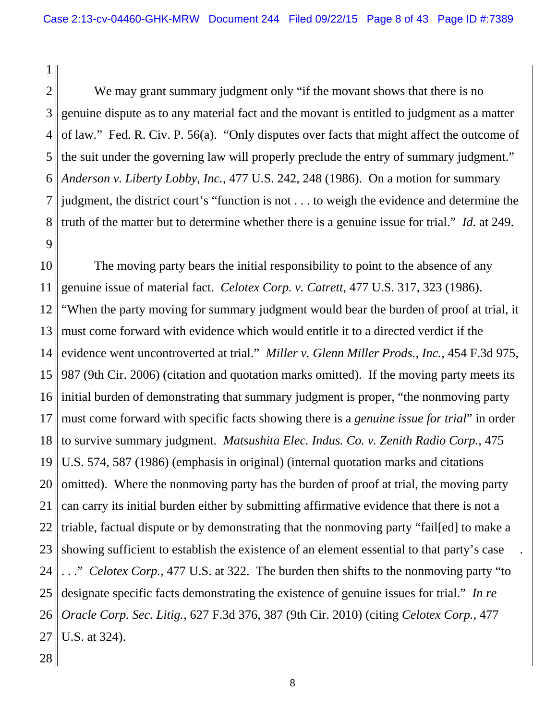2 3 4 5 6 7 8 9 We may grant summary judgment only "if the movant shows that there is no genuine dispute as to any material fact and the movant is entitled to judgment as a matter of law." Fed. R. Civ. P. 56(a). "Only disputes over facts that might affect the outcome of the suit under the governing law will properly preclude the entry of summary judgment." *Anderson v. Liberty Lobby, Inc.*, 477 U.S. 242, 248 (1986). On a motion for summary judgment, the district court's "function is not . . . to weigh the evidence and determine the truth of the matter but to determine whether there is a genuine issue for trial." *Id.* at 249.

10 11 12 13 14 15 16 17 18 19 20 21 22 23 24 25 26 27 The moving party bears the initial responsibility to point to the absence of any genuine issue of material fact. *Celotex Corp. v. Catrett*, 477 U.S. 317, 323 (1986). "When the party moving for summary judgment would bear the burden of proof at trial, it must come forward with evidence which would entitle it to a directed verdict if the evidence went uncontroverted at trial." *Miller v. Glenn Miller Prods., Inc.*, 454 F.3d 975, 987 (9th Cir. 2006) (citation and quotation marks omitted). If the moving party meets its initial burden of demonstrating that summary judgment is proper, "the nonmoving party must come forward with specific facts showing there is a *genuine issue for trial*" in order to survive summary judgment. *Matsushita Elec. Indus. Co. v. Zenith Radio Corp.*, 475 U.S. 574, 587 (1986) (emphasis in original) (internal quotation marks and citations omitted). Where the nonmoving party has the burden of proof at trial, the moving party can carry its initial burden either by submitting affirmative evidence that there is not a triable, factual dispute or by demonstrating that the nonmoving party "fail[ed] to make a showing sufficient to establish the existence of an element essential to that party's case . . ." *Celotex Corp.*, 477 U.S. at 322. The burden then shifts to the nonmoving party "to designate specific facts demonstrating the existence of genuine issues for trial." *In re Oracle Corp. Sec. Litig.*, 627 F.3d 376, 387 (9th Cir. 2010) (citing *Celotex Corp.*, 477 U.S. at 324).

28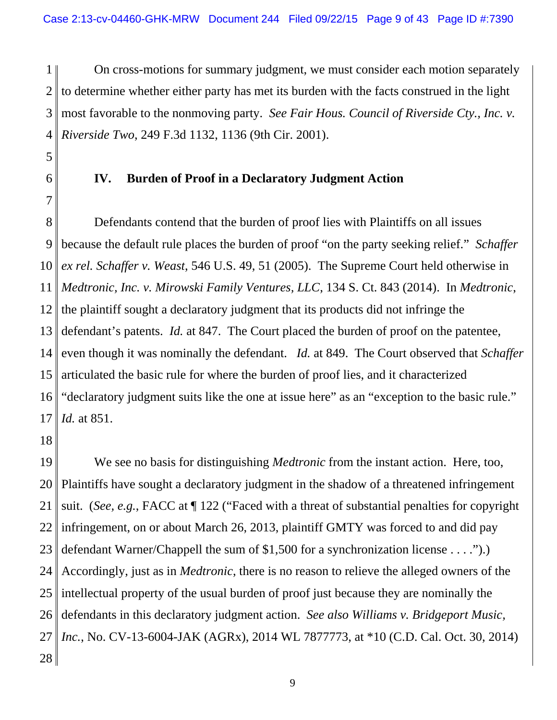1 2 3 4 On cross-motions for summary judgment, we must consider each motion separately to determine whether either party has met its burden with the facts construed in the light most favorable to the nonmoving party. *See Fair Hous. Council of Riverside Cty., Inc. v. Riverside Two*, 249 F.3d 1132, 1136 (9th Cir. 2001).

- 5
- 6

7

# **IV. Burden of Proof in a Declaratory Judgment Action**

8 9 10 11 12 13 14 15 16 17 Defendants contend that the burden of proof lies with Plaintiffs on all issues because the default rule places the burden of proof "on the party seeking relief." *Schaffer ex rel. Schaffer v. Weast*, 546 U.S. 49, 51 (2005). The Supreme Court held otherwise in *Medtronic, Inc. v. Mirowski Family Ventures, LLC*, 134 S. Ct. 843 (2014). In *Medtronic*, the plaintiff sought a declaratory judgment that its products did not infringe the defendant's patents. *Id.* at 847. The Court placed the burden of proof on the patentee, even though it was nominally the defendant. *Id.* at 849. The Court observed that *Schaffer* articulated the basic rule for where the burden of proof lies, and it characterized "declaratory judgment suits like the one at issue here" as an "exception to the basic rule." *Id.* at 851.

18

19 20 21 22 23 24 25 26 27 28 We see no basis for distinguishing *Medtronic* from the instant action. Here, too, Plaintiffs have sought a declaratory judgment in the shadow of a threatened infringement suit. (*See, e.g.*, FACC at ¶ 122 ("Faced with a threat of substantial penalties for copyright infringement, on or about March 26, 2013, plaintiff GMTY was forced to and did pay defendant Warner/Chappell the sum of \$1,500 for a synchronization license . . . .").) Accordingly, just as in *Medtronic*, there is no reason to relieve the alleged owners of the intellectual property of the usual burden of proof just because they are nominally the defendants in this declaratory judgment action. *See also Williams v. Bridgeport Music, Inc.*, No. CV-13-6004-JAK (AGRx), 2014 WL 7877773, at \*10 (C.D. Cal. Oct. 30, 2014)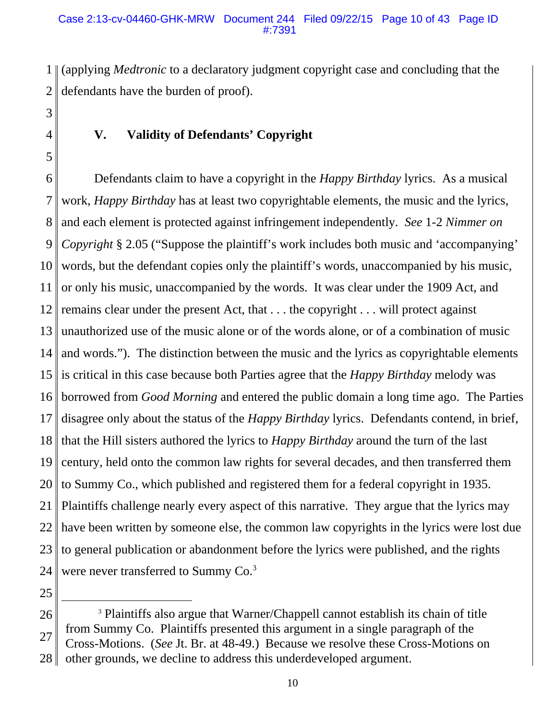1 2 (applying *Medtronic* to a declaratory judgment copyright case and concluding that the defendants have the burden of proof).

3 4

5

# **V. Validity of Defendants' Copyright**

6 7 8 9 10 11 12 13 14 15 16 17 18 19 20 21 22 23 24 Defendants claim to have a copyright in the *Happy Birthday* lyrics. As a musical work, *Happy Birthday* has at least two copyrightable elements, the music and the lyrics, and each element is protected against infringement independently. *See* 1-2 *Nimmer on Copyright* § 2.05 ("Suppose the plaintiff's work includes both music and 'accompanying' words, but the defendant copies only the plaintiff's words, unaccompanied by his music, or only his music, unaccompanied by the words. It was clear under the 1909 Act, and remains clear under the present Act, that . . . the copyright . . . will protect against unauthorized use of the music alone or of the words alone, or of a combination of music and words."). The distinction between the music and the lyrics as copyrightable elements is critical in this case because both Parties agree that the *Happy Birthday* melody was borrowed from *Good Morning* and entered the public domain a long time ago. The Parties disagree only about the status of the *Happy Birthday* lyrics. Defendants contend, in brief, that the Hill sisters authored the lyrics to *Happy Birthday* around the turn of the last century, held onto the common law rights for several decades, and then transferred them to Summy Co., which published and registered them for a federal copyright in 1935. Plaintiffs challenge nearly every aspect of this narrative. They argue that the lyrics may have been written by someone else, the common law copyrights in the lyrics were lost due to general publication or abandonment before the lyrics were published, and the rights were never transferred to Summy Co.<sup>3</sup>

<sup>26</sup> 27 28 <sup>3</sup> Plaintiffs also argue that Warner/Chappell cannot establish its chain of title from Summy Co. Plaintiffs presented this argument in a single paragraph of the Cross-Motions. (*See* Jt. Br. at 48-49.) Because we resolve these Cross-Motions on other grounds, we decline to address this underdeveloped argument.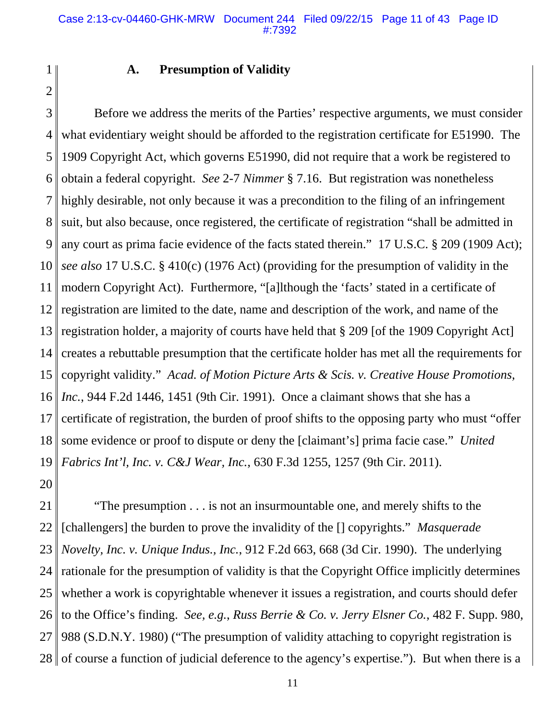2

1

### **A. Presumption of Validity**

3 4 5 6 7 8 9 10 11 12 13 14 15 16 17 18 19 20 Before we address the merits of the Parties' respective arguments, we must consider what evidentiary weight should be afforded to the registration certificate for E51990. The 1909 Copyright Act, which governs E51990, did not require that a work be registered to obtain a federal copyright. *See* 2-7 *Nimmer* § 7.16. But registration was nonetheless highly desirable, not only because it was a precondition to the filing of an infringement suit, but also because, once registered, the certificate of registration "shall be admitted in any court as prima facie evidence of the facts stated therein." 17 U.S.C. § 209 (1909 Act); *see also* 17 U.S.C. § 410(c) (1976 Act) (providing for the presumption of validity in the modern Copyright Act). Furthermore, "[a]lthough the 'facts' stated in a certificate of registration are limited to the date, name and description of the work, and name of the registration holder, a majority of courts have held that § 209 [of the 1909 Copyright Act] creates a rebuttable presumption that the certificate holder has met all the requirements for copyright validity." *Acad. of Motion Picture Arts & Scis. v. Creative House Promotions, Inc.*, 944 F.2d 1446, 1451 (9th Cir. 1991). Once a claimant shows that she has a certificate of registration, the burden of proof shifts to the opposing party who must "offer some evidence or proof to dispute or deny the [claimant's] prima facie case." *United Fabrics Int'l, Inc. v. C&J Wear, Inc.*, 630 F.3d 1255, 1257 (9th Cir. 2011).

21 22 23 24 25 26 27 28 "The presumption . . . is not an insurmountable one, and merely shifts to the [challengers] the burden to prove the invalidity of the [] copyrights." *Masquerade Novelty, Inc. v. Unique Indus., Inc.*, 912 F.2d 663, 668 (3d Cir. 1990). The underlying rationale for the presumption of validity is that the Copyright Office implicitly determines whether a work is copyrightable whenever it issues a registration, and courts should defer to the Office's finding. *See, e.g.*, *Russ Berrie & Co. v. Jerry Elsner Co.*, 482 F. Supp. 980, 988 (S.D.N.Y. 1980) ("The presumption of validity attaching to copyright registration is of course a function of judicial deference to the agency's expertise."). But when there is a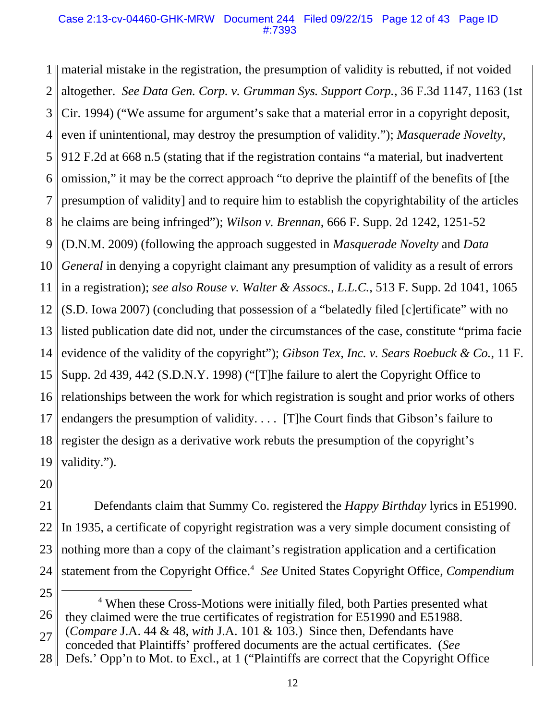#### Case 2:13-cv-04460-GHK-MRW Document 244 Filed 09/22/15 Page 12 of 43 Page ID #:7393

1 material mistake in the registration, the presumption of validity is rebutted, if not voided 2 3 4 5 6 7 8 9 10 11 12 13 14 15 16 17 18 19 altogether. *See Data Gen. Corp. v. Grumman Sys. Support Corp.*, 36 F.3d 1147, 1163 (1st Cir. 1994) ("We assume for argument's sake that a material error in a copyright deposit, even if unintentional, may destroy the presumption of validity."); *Masquerade Novelty*, 912 F.2d at 668 n.5 (stating that if the registration contains "a material, but inadvertent omission," it may be the correct approach "to deprive the plaintiff of the benefits of [the presumption of validity] and to require him to establish the copyrightability of the articles he claims are being infringed"); *Wilson v. Brennan*, 666 F. Supp. 2d 1242, 1251-52 (D.N.M. 2009) (following the approach suggested in *Masquerade Novelty* and *Data General* in denying a copyright claimant any presumption of validity as a result of errors in a registration); *see also Rouse v. Walter & Assocs., L.L.C.*, 513 F. Supp. 2d 1041, 1065 (S.D. Iowa 2007) (concluding that possession of a "belatedly filed [c]ertificate" with no listed publication date did not, under the circumstances of the case, constitute "prima facie evidence of the validity of the copyright"); *Gibson Tex, Inc. v. Sears Roebuck & Co.*, 11 F. Supp. 2d 439, 442 (S.D.N.Y. 1998) ("[T]he failure to alert the Copyright Office to relationships between the work for which registration is sought and prior works of others endangers the presumption of validity. . . . [T]he Court finds that Gibson's failure to register the design as a derivative work rebuts the presumption of the copyright's validity.").

20

21 22 23 24 Defendants claim that Summy Co. registered the *Happy Birthday* lyrics in E51990. In 1935, a certificate of copyright registration was a very simple document consisting of nothing more than a copy of the claimant's registration application and a certification statement from the Copyright Office.<sup>4</sup> See United States Copyright Office, *Compendium* 

conceded that Plaintiffs' proffered documents are the actual certificates. (*See*

<sup>25</sup>

<sup>26</sup> <sup>4</sup> When these Cross-Motions were initially filed, both Parties presented what they claimed were the true certificates of registration for E51990 and E51988.

<sup>27</sup> (*Compare* J.A. 44 & 48, *with* J.A. 101 & 103.) Since then, Defendants have

<sup>28</sup> Defs.' Opp'n to Mot. to Excl., at 1 ("Plaintiffs are correct that the Copyright Office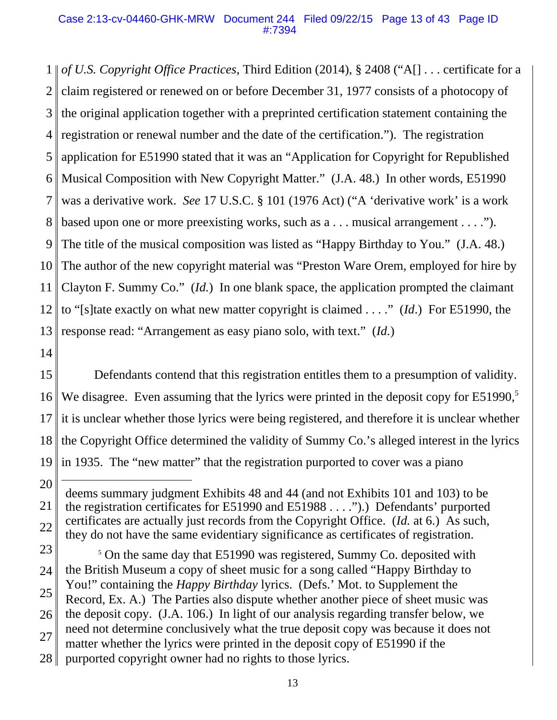1 *of U.S. Copyright Office Practices*, Third Edition (2014), § 2408 ("A[] . . . certificate for a 2 3 4 5 6 7 8 9 10 11 12 13 claim registered or renewed on or before December 31, 1977 consists of a photocopy of the original application together with a preprinted certification statement containing the registration or renewal number and the date of the certification."). The registration application for E51990 stated that it was an "Application for Copyright for Republished Musical Composition with New Copyright Matter." (J.A. 48.) In other words, E51990 was a derivative work. *See* 17 U.S.C. § 101 (1976 Act) ("A 'derivative work' is a work based upon one or more preexisting works, such as a . . . musical arrangement . . . ."). The title of the musical composition was listed as "Happy Birthday to You." (J.A. 48.) The author of the new copyright material was "Preston Ware Orem, employed for hire by Clayton F. Summy Co." (*Id.*) In one blank space, the application prompted the claimant to "[s]tate exactly on what new matter copyright is claimed . . . ." (*Id*.) For E51990, the response read: "Arrangement as easy piano solo, with text." (*Id.*)

14

15 16 17 18 19 Defendants contend that this registration entitles them to a presumption of validity. We disagree. Even assuming that the lyrics were printed in the deposit copy for  $E51990$ ,<sup>5</sup> it is unclear whether those lyrics were being registered, and therefore it is unclear whether the Copyright Office determined the validity of Summy Co.'s alleged interest in the lyrics in 1935. The "new matter" that the registration purported to cover was a piano

20

21 22 deems summary judgment Exhibits 48 and 44 (and not Exhibits 101 and 103) to be the registration certificates for E51990 and E51988 . . . .").) Defendants' purported certificates are actually just records from the Copyright Office. (*Id.* at 6.) As such, they do not have the same evidentiary significance as certificates of registration.

23 24 25 26 27 28 <sup>5</sup> On the same day that E51990 was registered, Summy Co. deposited with the British Museum a copy of sheet music for a song called "Happy Birthday to You!" containing the *Happy Birthday* lyrics. (Defs.' Mot. to Supplement the Record, Ex. A.) The Parties also dispute whether another piece of sheet music was the deposit copy. (J.A. 106.) In light of our analysis regarding transfer below, we need not determine conclusively what the true deposit copy was because it does not matter whether the lyrics were printed in the deposit copy of E51990 if the purported copyright owner had no rights to those lyrics.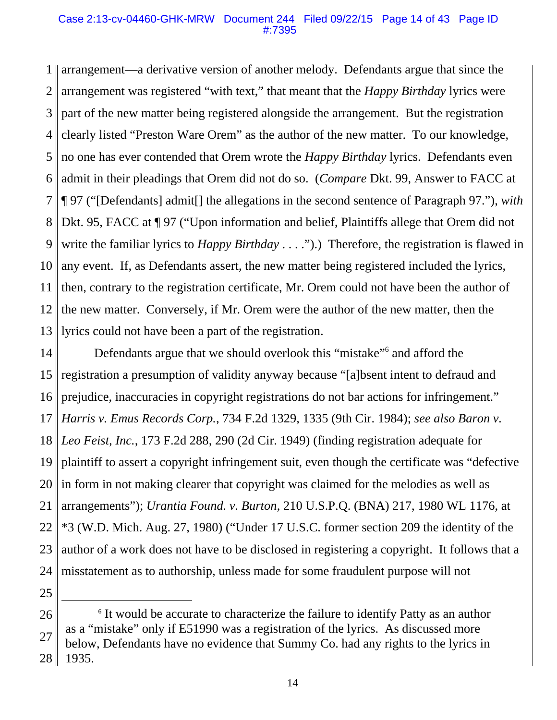#### Case 2:13-cv-04460-GHK-MRW Document 244 Filed 09/22/15 Page 14 of 43 Page ID #:7395

1 2 3 4 5 6 7 8 9 10 11 12 13 arrangement—a derivative version of another melody. Defendants argue that since the arrangement was registered "with text," that meant that the *Happy Birthday* lyrics were part of the new matter being registered alongside the arrangement. But the registration clearly listed "Preston Ware Orem" as the author of the new matter. To our knowledge, no one has ever contended that Orem wrote the *Happy Birthday* lyrics. Defendants even admit in their pleadings that Orem did not do so. (*Compare* Dkt. 99, Answer to FACC at ¶ 97 ("[Defendants] admit[] the allegations in the second sentence of Paragraph 97."), *with* Dkt. 95, FACC at ¶ 97 ("Upon information and belief, Plaintiffs allege that Orem did not write the familiar lyrics to *Happy Birthday* . . . .").) Therefore, the registration is flawed in any event. If, as Defendants assert, the new matter being registered included the lyrics, then, contrary to the registration certificate, Mr. Orem could not have been the author of the new matter. Conversely, if Mr. Orem were the author of the new matter, then the lyrics could not have been a part of the registration.

14 15 16 17 18 19 20 21 22 23 24 Defendants argue that we should overlook this "mistake"<sup>6</sup> and afford the registration a presumption of validity anyway because "[a]bsent intent to defraud and prejudice, inaccuracies in copyright registrations do not bar actions for infringement." *Harris v. Emus Records Corp.*, 734 F.2d 1329, 1335 (9th Cir. 1984); *see also Baron v. Leo Feist, Inc.*, 173 F.2d 288, 290 (2d Cir. 1949) (finding registration adequate for plaintiff to assert a copyright infringement suit, even though the certificate was "defective in form in not making clearer that copyright was claimed for the melodies as well as arrangements"); *Urantia Found. v. Burton*, 210 U.S.P.Q. (BNA) 217, 1980 WL 1176, at \*3 (W.D. Mich. Aug. 27, 1980) ("Under 17 U.S.C. former section 209 the identity of the author of a work does not have to be disclosed in registering a copyright. It follows that a misstatement as to authorship, unless made for some fraudulent purpose will not

<sup>26</sup> 27 28 <sup>6</sup> It would be accurate to characterize the failure to identify Patty as an author as a "mistake" only if E51990 was a registration of the lyrics. As discussed more below, Defendants have no evidence that Summy Co. had any rights to the lyrics in 1935.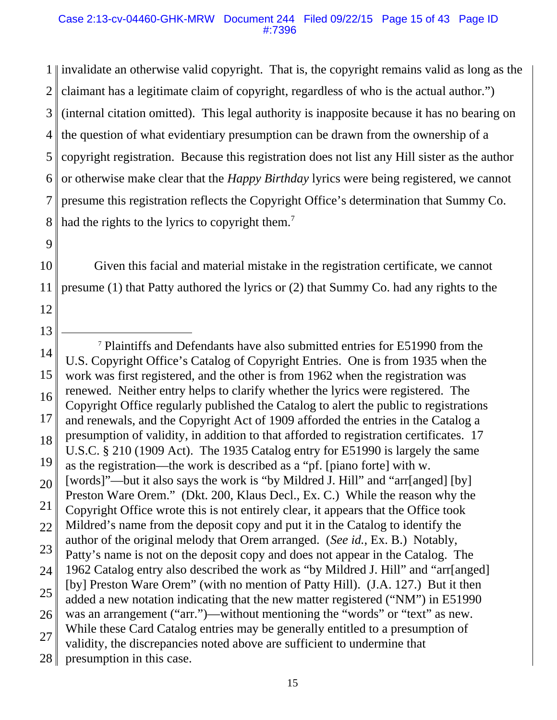1 invalidate an otherwise valid copyright. That is, the copyright remains valid as long as the 2 3 4 5 6 7 8 claimant has a legitimate claim of copyright, regardless of who is the actual author.") (internal citation omitted). This legal authority is inapposite because it has no bearing on the question of what evidentiary presumption can be drawn from the ownership of a copyright registration. Because this registration does not list any Hill sister as the author or otherwise make clear that the *Happy Birthday* lyrics were being registered, we cannot presume this registration reflects the Copyright Office's determination that Summy Co. had the rights to the lyrics to copyright them.<sup>7</sup>

9

12

13

10 11 Given this facial and material mistake in the registration certificate, we cannot presume (1) that Patty authored the lyrics or (2) that Summy Co. had any rights to the

<sup>14</sup> 15 16 17 18 19 20 21 22 23 24 25 26 27 28 7 Plaintiffs and Defendants have also submitted entries for E51990 from the U.S. Copyright Office's Catalog of Copyright Entries. One is from 1935 when the work was first registered, and the other is from 1962 when the registration was renewed. Neither entry helps to clarify whether the lyrics were registered. The Copyright Office regularly published the Catalog to alert the public to registrations and renewals, and the Copyright Act of 1909 afforded the entries in the Catalog a presumption of validity, in addition to that afforded to registration certificates. 17 U.S.C. § 210 (1909 Act). The 1935 Catalog entry for E51990 is largely the same as the registration—the work is described as a "pf. [piano forte] with w. [words]"—but it also says the work is "by Mildred J. Hill" and "arr[anged] [by] Preston Ware Orem." (Dkt. 200, Klaus Decl., Ex. C.) While the reason why the Copyright Office wrote this is not entirely clear, it appears that the Office took Mildred's name from the deposit copy and put it in the Catalog to identify the author of the original melody that Orem arranged. (*See id.*, Ex. B.) Notably, Patty's name is not on the deposit copy and does not appear in the Catalog. The 1962 Catalog entry also described the work as "by Mildred J. Hill" and "arr[anged] [by] Preston Ware Orem" (with no mention of Patty Hill). (J.A. 127.) But it then added a new notation indicating that the new matter registered ("NM") in E51990 was an arrangement ("arr.")—without mentioning the "words" or "text" as new. While these Card Catalog entries may be generally entitled to a presumption of validity, the discrepancies noted above are sufficient to undermine that presumption in this case.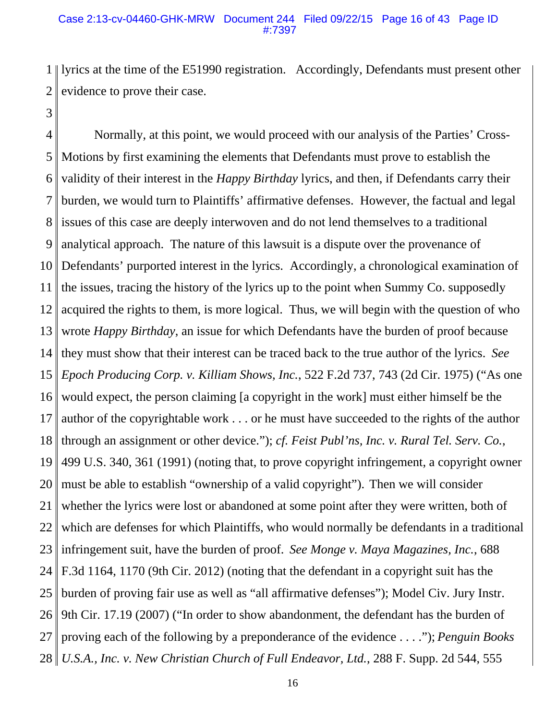#### Case 2:13-cv-04460-GHK-MRW Document 244 Filed 09/22/15 Page 16 of 43 Page ID #:7397

1 2 lyrics at the time of the E51990 registration. Accordingly, Defendants must present other evidence to prove their case.

3

4 5 6 7 8 9 10 11 12 13 14 15 16 17 18 19 20 21 22 23 24 25 26 27 28 Normally, at this point, we would proceed with our analysis of the Parties' Cross-Motions by first examining the elements that Defendants must prove to establish the validity of their interest in the *Happy Birthday* lyrics, and then, if Defendants carry their burden, we would turn to Plaintiffs' affirmative defenses. However, the factual and legal issues of this case are deeply interwoven and do not lend themselves to a traditional analytical approach. The nature of this lawsuit is a dispute over the provenance of Defendants' purported interest in the lyrics. Accordingly, a chronological examination of the issues, tracing the history of the lyrics up to the point when Summy Co. supposedly acquired the rights to them, is more logical. Thus, we will begin with the question of who wrote *Happy Birthday*, an issue for which Defendants have the burden of proof because they must show that their interest can be traced back to the true author of the lyrics. *See Epoch Producing Corp. v. Killiam Shows, Inc.*, 522 F.2d 737, 743 (2d Cir. 1975) ("As one would expect, the person claiming [a copyright in the work] must either himself be the author of the copyrightable work . . . or he must have succeeded to the rights of the author through an assignment or other device."); *cf. Feist Publ'ns, Inc. v. Rural Tel. Serv. Co.*, 499 U.S. 340, 361 (1991) (noting that, to prove copyright infringement, a copyright owner must be able to establish "ownership of a valid copyright"). Then we will consider whether the lyrics were lost or abandoned at some point after they were written, both of which are defenses for which Plaintiffs, who would normally be defendants in a traditional infringement suit, have the burden of proof. *See Monge v. Maya Magazines, Inc.*, 688 F.3d 1164, 1170 (9th Cir. 2012) (noting that the defendant in a copyright suit has the burden of proving fair use as well as "all affirmative defenses"); Model Civ. Jury Instr. 9th Cir. 17.19 (2007) ("In order to show abandonment, the defendant has the burden of proving each of the following by a preponderance of the evidence . . . ."); *Penguin Books U.S.A., Inc. v. New Christian Church of Full Endeavor, Ltd.*, 288 F. Supp. 2d 544, 555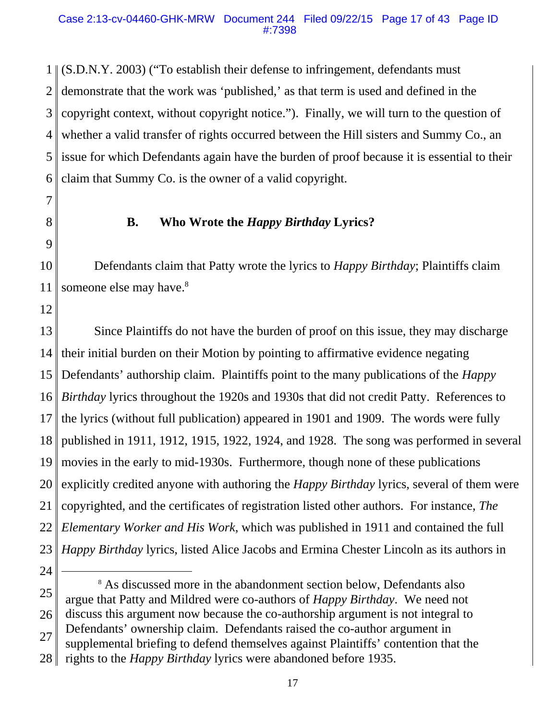1 (S.D.N.Y. 2003) ("To establish their defense to infringement, defendants must 2 3 4 5 6 demonstrate that the work was 'published,' as that term is used and defined in the copyright context, without copyright notice."). Finally, we will turn to the question of whether a valid transfer of rights occurred between the Hill sisters and Summy Co., an issue for which Defendants again have the burden of proof because it is essential to their claim that Summy Co. is the owner of a valid copyright.

- 7
- 8 9

### **B. Who Wrote the** *Happy Birthday* **Lyrics?**

10 11 Defendants claim that Patty wrote the lyrics to *Happy Birthday*; Plaintiffs claim someone else may have.<sup>8</sup>

12

13 14 15 16 17 18 19 20 21 22 23 Since Plaintiffs do not have the burden of proof on this issue, they may discharge their initial burden on their Motion by pointing to affirmative evidence negating Defendants' authorship claim. Plaintiffs point to the many publications of the *Happy Birthday* lyrics throughout the 1920s and 1930s that did not credit Patty. References to the lyrics (without full publication) appeared in 1901 and 1909. The words were fully published in 1911, 1912, 1915, 1922, 1924, and 1928. The song was performed in several movies in the early to mid-1930s. Furthermore, though none of these publications explicitly credited anyone with authoring the *Happy Birthday* lyrics, several of them were copyrighted, and the certificates of registration listed other authors. For instance, *The Elementary Worker and His Work*, which was published in 1911 and contained the full *Happy Birthday* lyrics, listed Alice Jacobs and Ermina Chester Lincoln as its authors in

24

supplemental briefing to defend themselves against Plaintiffs' contention that the

<sup>25</sup> 26 8 As discussed more in the abandonment section below, Defendants also argue that Patty and Mildred were co-authors of *Happy Birthday*. We need not discuss this argument now because the co-authorship argument is not integral to

<sup>27</sup> Defendants' ownership claim. Defendants raised the co-author argument in

<sup>28</sup> rights to the *Happy Birthday* lyrics were abandoned before 1935.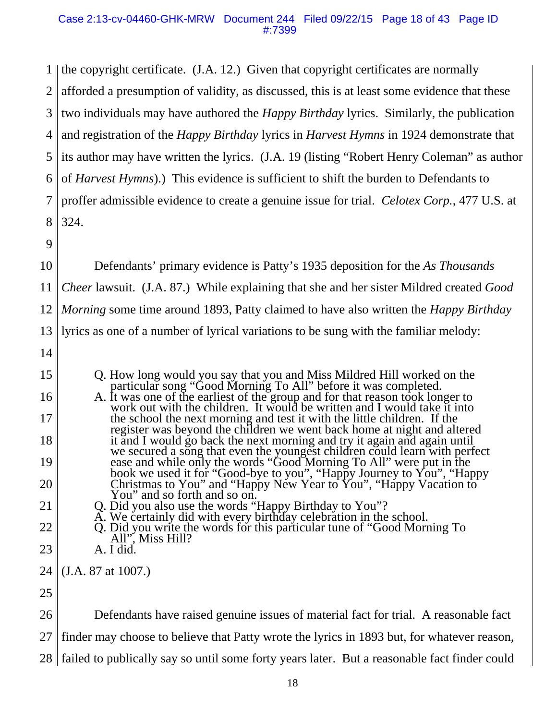1 || the copyright certificate. (J.A. 12.) Given that copyright certificates are normally 2 3 4 5 6 7 8 9 10 11 12 13 14 15 16 17 18 19 20 21 22 23 24 25 26 27 afforded a presumption of validity, as discussed, this is at least some evidence that these two individuals may have authored the *Happy Birthday* lyrics. Similarly, the publication and registration of the *Happy Birthday* lyrics in *Harvest Hymns* in 1924 demonstrate that its author may have written the lyrics. (J.A. 19 (listing "Robert Henry Coleman" as author of *Harvest Hymns*).) This evidence is sufficient to shift the burden to Defendants to proffer admissible evidence to create a genuine issue for trial. *Celotex Corp.*, 477 U.S. at 324. Defendants' primary evidence is Patty's 1935 deposition for the *As Thousands Cheer* lawsuit. (J.A. 87.) While explaining that she and her sister Mildred created *Good Morning* some time around 1893, Patty claimed to have also written the *Happy Birthday* lyrics as one of a number of lyrical variations to be sung with the familiar melody: Q. How long would you say that you and Miss Mildred Hill worked on the particular song "Good Morning To All" before it was completed.<br>A. It was one of the earliest of the group and for that reason took longer to work out w the school the next morning and test it with the little children. If the register was beyond the children we went back home at night and altered it and I would go back the next morning and try it again and again until we secured a song that even the youngest children could learn with perfect ease and while only the words "Good Morning To All" were put in the book we used it for "Good-bye to you", "Happy Journey to You", "Happy Christmas to You" and "Happy New Year to You", "Happy Vacation to You" and so forth and so on. Q. Did you also use the words "Happy Birthday to You"? A. We certainly did with every birthday celebration in the school. Q. Did you write the words for this particular tune of "Good Morning To All", Miss Hill? A. I did. (J.A. 87 at 1007.) Defendants have raised genuine issues of material fact for trial. A reasonable fact finder may choose to believe that Patty wrote the lyrics in 1893 but, for whatever reason,

28 failed to publically say so until some forty years later. But a reasonable fact finder could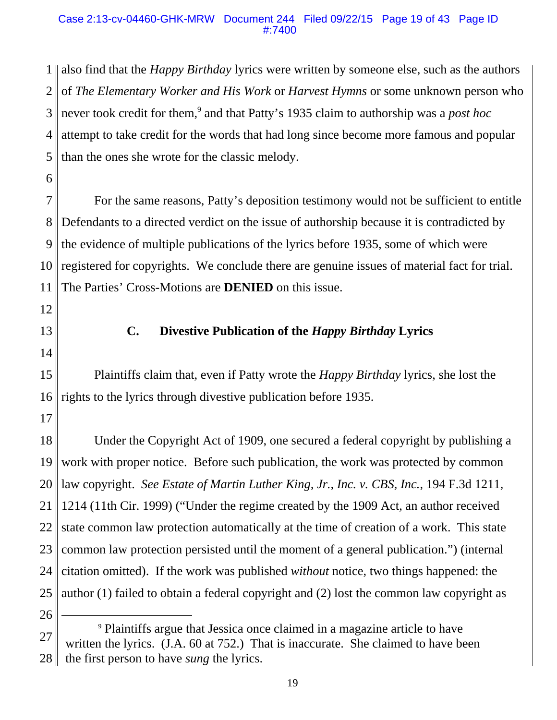### Case 2:13-cv-04460-GHK-MRW Document 244 Filed 09/22/15 Page 19 of 43 Page ID #:7400

1 2 3 4 5 also find that the *Happy Birthday* lyrics were written by someone else, such as the authors of *The Elementary Worker and His Work* or *Harvest Hymns* or some unknown person who never took credit for them,<sup>9</sup> and that Patty's 1935 claim to authorship was a *post hoc* attempt to take credit for the words that had long since become more famous and popular than the ones she wrote for the classic melody.

6

7 8 9 10 11 For the same reasons, Patty's deposition testimony would not be sufficient to entitle Defendants to a directed verdict on the issue of authorship because it is contradicted by the evidence of multiple publications of the lyrics before 1935, some of which were registered for copyrights. We conclude there are genuine issues of material fact for trial. The Parties' Cross-Motions are **DENIED** on this issue.

- 12
- 13

# **C. Divestive Publication of the** *Happy Birthday* **Lyrics**

14

15 16 Plaintiffs claim that, even if Patty wrote the *Happy Birthday* lyrics, she lost the rights to the lyrics through divestive publication before 1935.

17

18 19 20 21 22 23 24 25 26 Under the Copyright Act of 1909, one secured a federal copyright by publishing a work with proper notice. Before such publication, the work was protected by common law copyright. *See Estate of Martin Luther King, Jr., Inc. v. CBS, Inc.*, 194 F.3d 1211, 1214 (11th Cir. 1999) ("Under the regime created by the 1909 Act, an author received state common law protection automatically at the time of creation of a work. This state common law protection persisted until the moment of a general publication.") (internal citation omitted). If the work was published *without* notice, two things happened: the author (1) failed to obtain a federal copyright and (2) lost the common law copyright as

<sup>27</sup> 28 9 Plaintiffs argue that Jessica once claimed in a magazine article to have written the lyrics. (J.A. 60 at 752.) That is inaccurate. She claimed to have been the first person to have *sung* the lyrics.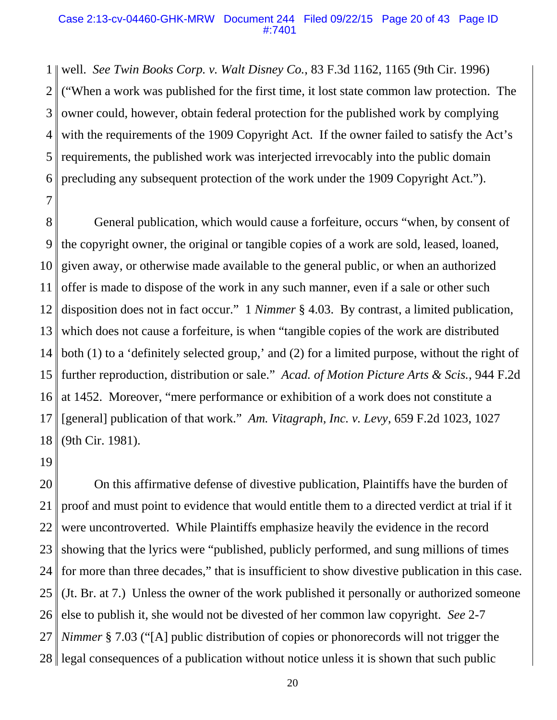#### Case 2:13-cv-04460-GHK-MRW Document 244 Filed 09/22/15 Page 20 of 43 Page ID #:7401

1 2 3 4 5 6 well. *See Twin Books Corp. v. Walt Disney Co.*, 83 F.3d 1162, 1165 (9th Cir. 1996) ("When a work was published for the first time, it lost state common law protection. The owner could, however, obtain federal protection for the published work by complying with the requirements of the 1909 Copyright Act. If the owner failed to satisfy the Act's requirements, the published work was interjected irrevocably into the public domain precluding any subsequent protection of the work under the 1909 Copyright Act.").

7

8 9 10 11 12 13 14 15 16 17 18 General publication, which would cause a forfeiture, occurs "when, by consent of the copyright owner, the original or tangible copies of a work are sold, leased, loaned, given away, or otherwise made available to the general public, or when an authorized offer is made to dispose of the work in any such manner, even if a sale or other such disposition does not in fact occur." 1 *Nimmer* § 4.03. By contrast, a limited publication, which does not cause a forfeiture, is when "tangible copies of the work are distributed both (1) to a 'definitely selected group,' and (2) for a limited purpose, without the right of further reproduction, distribution or sale." *Acad. of Motion Picture Arts & Scis.*, 944 F.2d at 1452. Moreover, "mere performance or exhibition of a work does not constitute a [general] publication of that work." *Am. Vitagraph, Inc. v. Levy*, 659 F.2d 1023, 1027 (9th Cir. 1981).

19

20 21 22 23 24 25 26 27 28 On this affirmative defense of divestive publication, Plaintiffs have the burden of proof and must point to evidence that would entitle them to a directed verdict at trial if it were uncontroverted. While Plaintiffs emphasize heavily the evidence in the record showing that the lyrics were "published, publicly performed, and sung millions of times for more than three decades," that is insufficient to show divestive publication in this case. (Jt. Br. at 7.) Unless the owner of the work published it personally or authorized someone else to publish it, she would not be divested of her common law copyright. *See* 2-7 *Nimmer* § 7.03 ("[A] public distribution of copies or phonorecords will not trigger the legal consequences of a publication without notice unless it is shown that such public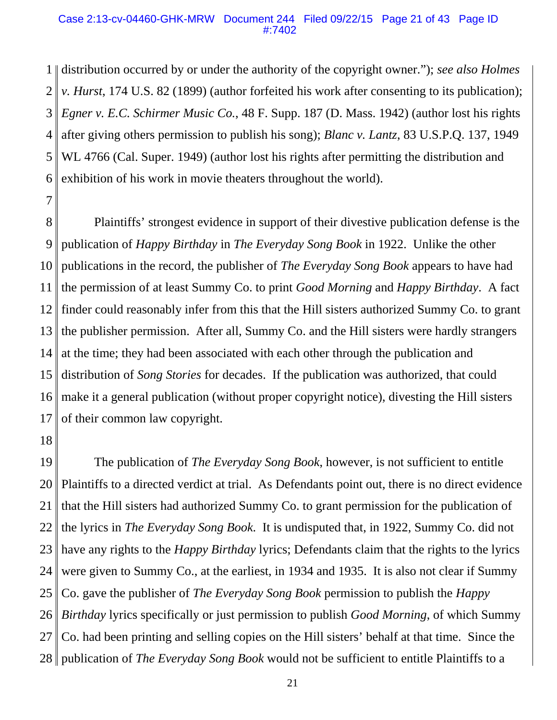#### Case 2:13-cv-04460-GHK-MRW Document 244 Filed 09/22/15 Page 21 of 43 Page ID #:7402

1 2 3 4 5 6 distribution occurred by or under the authority of the copyright owner."); *see also Holmes v. Hurst*, 174 U.S. 82 (1899) (author forfeited his work after consenting to its publication); *Egner v. E.C. Schirmer Music Co.*, 48 F. Supp. 187 (D. Mass. 1942) (author lost his rights after giving others permission to publish his song); *Blanc v. Lantz*, 83 U.S.P.Q. 137, 1949 WL 4766 (Cal. Super. 1949) (author lost his rights after permitting the distribution and exhibition of his work in movie theaters throughout the world).

8 9 10 11 12 13 14 15 16 17 Plaintiffs' strongest evidence in support of their divestive publication defense is the publication of *Happy Birthday* in *The Everyday Song Book* in 1922. Unlike the other publications in the record, the publisher of *The Everyday Song Book* appears to have had the permission of at least Summy Co. to print *Good Morning* and *Happy Birthday*. A fact finder could reasonably infer from this that the Hill sisters authorized Summy Co. to grant the publisher permission. After all, Summy Co. and the Hill sisters were hardly strangers at the time; they had been associated with each other through the publication and distribution of *Song Stories* for decades. If the publication was authorized, that could make it a general publication (without proper copyright notice), divesting the Hill sisters of their common law copyright.

18

7

19 20 21 22 23 24 25 26 27 28 publication of *The Everyday Song Book* would not be sufficient to entitle Plaintiffs to a The publication of *The Everyday Song Book*, however, is not sufficient to entitle Plaintiffs to a directed verdict at trial. As Defendants point out, there is no direct evidence that the Hill sisters had authorized Summy Co. to grant permission for the publication of the lyrics in *The Everyday Song Book*. It is undisputed that, in 1922, Summy Co. did not have any rights to the *Happy Birthday* lyrics; Defendants claim that the rights to the lyrics were given to Summy Co., at the earliest, in 1934 and 1935. It is also not clear if Summy Co. gave the publisher of *The Everyday Song Book* permission to publish the *Happy Birthday* lyrics specifically or just permission to publish *Good Morning*, of which Summy Co. had been printing and selling copies on the Hill sisters' behalf at that time. Since the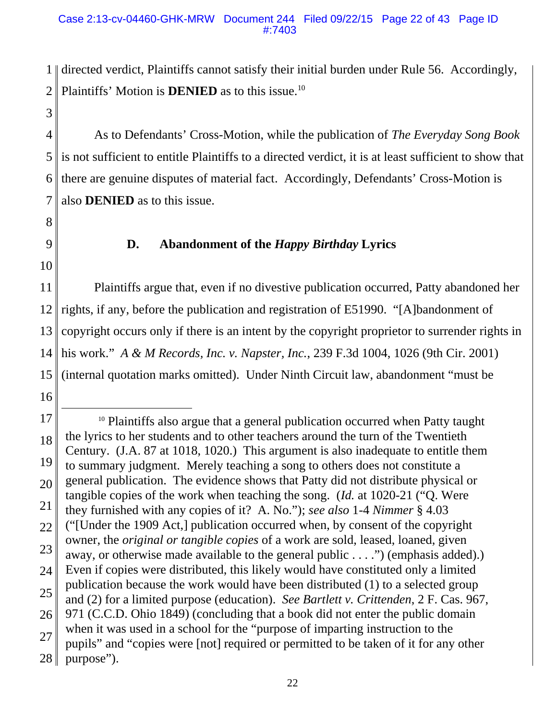1 2 directed verdict, Plaintiffs cannot satisfy their initial burden under Rule 56. Accordingly, Plaintiffs' Motion is **DENIED** as to this issue.<sup>10</sup>

- 4 5 6 7 As to Defendants' Cross-Motion, while the publication of *The Everyday Song Book* is not sufficient to entitle Plaintiffs to a directed verdict, it is at least sufficient to show that there are genuine disputes of material fact. Accordingly, Defendants' Cross-Motion is also **DENIED** as to this issue.
- 8

3

9

# **D. Abandonment of the** *Happy Birthday* **Lyrics**

10

11 12 13 14 15 Plaintiffs argue that, even if no divestive publication occurred, Patty abandoned her rights, if any, before the publication and registration of E51990. "[A]bandonment of copyright occurs only if there is an intent by the copyright proprietor to surrender rights in his work." *A & M Records, Inc. v. Napster, Inc.*, 239 F.3d 1004, 1026 (9th Cir. 2001) (internal quotation marks omitted). Under Ninth Circuit law, abandonment "must be

<sup>17</sup> 18 19 20 21 22 23 24 25 26 27 28 <sup>10</sup> Plaintiffs also argue that a general publication occurred when Patty taught the lyrics to her students and to other teachers around the turn of the Twentieth Century. (J.A. 87 at 1018, 1020.) This argument is also inadequate to entitle them to summary judgment. Merely teaching a song to others does not constitute a general publication. The evidence shows that Patty did not distribute physical or tangible copies of the work when teaching the song. (*Id.* at 1020-21 ("Q. Were they furnished with any copies of it? A. No."); *see also* 1-4 *Nimmer* § 4.03 ("[Under the 1909 Act,] publication occurred when, by consent of the copyright owner, the *original or tangible copies* of a work are sold, leased, loaned, given away, or otherwise made available to the general public . . . .") (emphasis added).) Even if copies were distributed, this likely would have constituted only a limited publication because the work would have been distributed (1) to a selected group and (2) for a limited purpose (education). *See Bartlett v. Crittenden*, 2 F. Cas. 967, 971 (C.C.D. Ohio 1849) (concluding that a book did not enter the public domain when it was used in a school for the "purpose of imparting instruction to the pupils" and "copies were [not] required or permitted to be taken of it for any other purpose").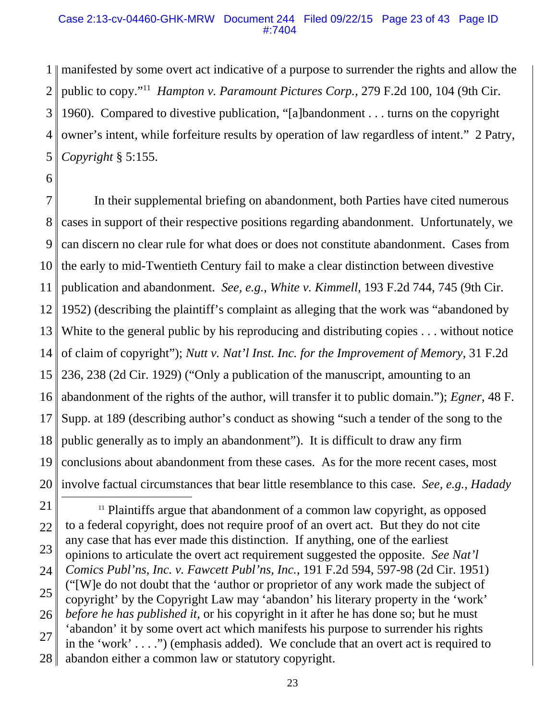#### Case 2:13-cv-04460-GHK-MRW Document 244 Filed 09/22/15 Page 23 of 43 Page ID #:7404

1 2 3 4 5 manifested by some overt act indicative of a purpose to surrender the rights and allow the public to copy."11 *Hampton v. Paramount Pictures Corp.*, 279 F.2d 100, 104 (9th Cir. 1960). Compared to divestive publication, "[a]bandonment . . . turns on the copyright owner's intent, while forfeiture results by operation of law regardless of intent." 2 Patry, *Copyright* § 5:155.

6

7 8 9 10 11 12 13 14 15 16 17 18 19 20 In their supplemental briefing on abandonment, both Parties have cited numerous cases in support of their respective positions regarding abandonment. Unfortunately, we can discern no clear rule for what does or does not constitute abandonment. Cases from the early to mid-Twentieth Century fail to make a clear distinction between divestive publication and abandonment. *See, e.g.*, *White v. Kimmell*, 193 F.2d 744, 745 (9th Cir. 1952) (describing the plaintiff's complaint as alleging that the work was "abandoned by White to the general public by his reproducing and distributing copies . . . without notice of claim of copyright"); *Nutt v. Nat'l Inst. Inc. for the Improvement of Memory*, 31 F.2d 236, 238 (2d Cir. 1929) ("Only a publication of the manuscript, amounting to an abandonment of the rights of the author, will transfer it to public domain."); *Egner*, 48 F. Supp. at 189 (describing author's conduct as showing "such a tender of the song to the public generally as to imply an abandonment"). It is difficult to draw any firm conclusions about abandonment from these cases. As for the more recent cases, most involve factual circumstances that bear little resemblance to this case. *See, e.g.*, *Hadady*

<sup>21</sup> 22 23 24 25 26 27 28  $11$  Plaintiffs argue that abandonment of a common law copyright, as opposed to a federal copyright, does not require proof of an overt act. But they do not cite any case that has ever made this distinction. If anything, one of the earliest opinions to articulate the overt act requirement suggested the opposite. *See Nat'l Comics Publ'ns, Inc. v. Fawcett Publ'ns, Inc.*, 191 F.2d 594, 597-98 (2d Cir. 1951) ("[W]e do not doubt that the 'author or proprietor of any work made the subject of copyright' by the Copyright Law may 'abandon' his literary property in the 'work' *before he has published it*, or his copyright in it after he has done so; but he must 'abandon' it by some overt act which manifests his purpose to surrender his rights in the 'work' . . . .") (emphasis added). We conclude that an overt act is required to abandon either a common law or statutory copyright.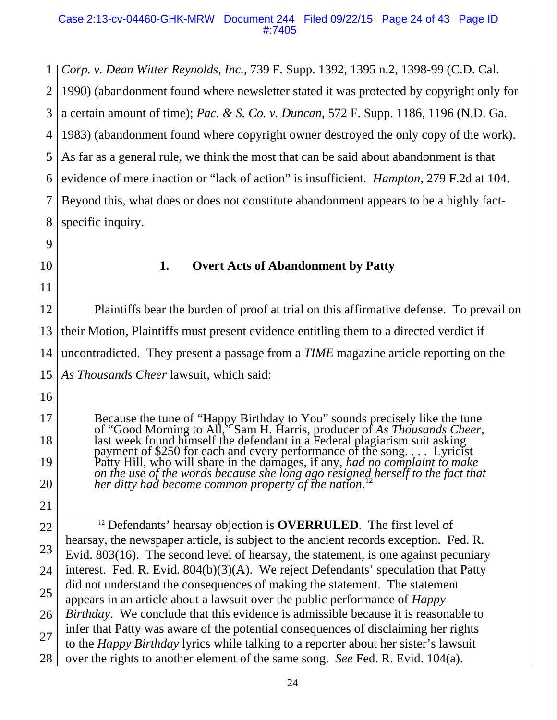#### Case 2:13-cv-04460-GHK-MRW Document 244 Filed 09/22/15 Page 24 of 43 Page ID #:7405

1 *Corp. v. Dean Witter Reynolds, Inc.*, 739 F. Supp. 1392, 1395 n.2, 1398-99 (C.D. Cal. 2 3 4 5 6 7 8 1990) (abandonment found where newsletter stated it was protected by copyright only for a certain amount of time); *Pac. & S. Co. v. Duncan*, 572 F. Supp. 1186, 1196 (N.D. Ga. 1983) (abandonment found where copyright owner destroyed the only copy of the work). As far as a general rule, we think the most that can be said about abandonment is that evidence of mere inaction or "lack of action" is insufficient. *Hampton*, 279 F.2d at 104. Beyond this, what does or does not constitute abandonment appears to be a highly factspecific inquiry.

- 9
- 10

11

# **1. Overt Acts of Abandonment by Patty**

12 13 14 15 Plaintiffs bear the burden of proof at trial on this affirmative defense. To prevail on their Motion, Plaintiffs must present evidence entitling them to a directed verdict if uncontradicted. They present a passage from a *TIME* magazine article reporting on the *As Thousands Cheer* lawsuit, which said:

16

17

18

19

20

21

Because the tune of "Happy Birthday to You" sounds precisely like the tune of "Good Morning to All," Sam H. Harris, producer of As Thousands Cheer, of "Good Morning to All," Sam H. Harris, producer of As Thousands Cheer,<br>last week found himself the defendant in a Federal plagiarism suit asking<br>payment of \$250 for each and every performance of the song.... Lyricist Patty Hill, who will share in the damages, if any, *had no complaint to make on the use of the words because she long ago resigned herself to the fact that her ditty had become common property of the nation*. on the use of the words because she long ago resigned herself to the fact that

22 23 24 25 26 27 12 Defendants' hearsay objection is **OVERRULED**. The first level of hearsay, the newspaper article, is subject to the ancient records exception. Fed. R. Evid. 803(16). The second level of hearsay, the statement, is one against pecuniary interest. Fed. R. Evid. 804(b)(3)(A). We reject Defendants' speculation that Patty did not understand the consequences of making the statement. The statement appears in an article about a lawsuit over the public performance of *Happy Birthday*. We conclude that this evidence is admissible because it is reasonable to infer that Patty was aware of the potential consequences of disclaiming her rights to the *Happy Birthday* lyrics while talking to a reporter about her sister's lawsuit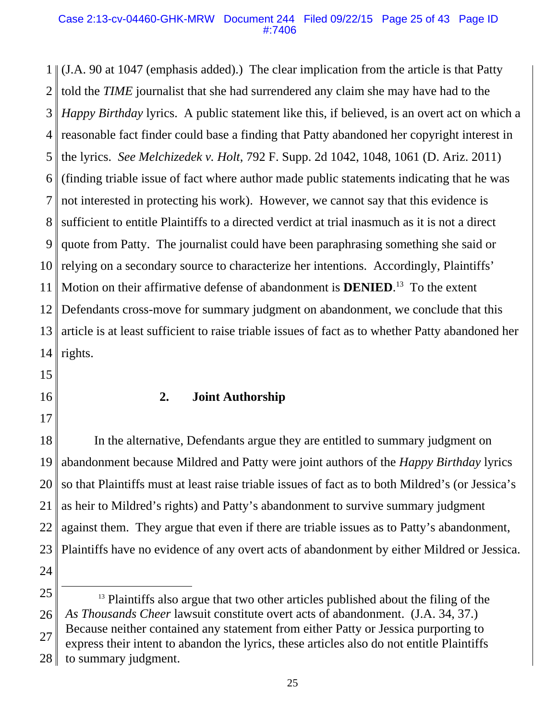#### Case 2:13-cv-04460-GHK-MRW Document 244 Filed 09/22/15 Page 25 of 43 Page ID #:7406

1 (J.A. 90 at 1047 (emphasis added).) The clear implication from the article is that Patty 2 3 4 5 6 7 8 9 10 11 12 13 14 told the *TIME* journalist that she had surrendered any claim she may have had to the *Happy Birthday* lyrics. A public statement like this, if believed, is an overt act on which a reasonable fact finder could base a finding that Patty abandoned her copyright interest in the lyrics. *See Melchizedek v. Holt*, 792 F. Supp. 2d 1042, 1048, 1061 (D. Ariz. 2011) (finding triable issue of fact where author made public statements indicating that he was not interested in protecting his work). However, we cannot say that this evidence is sufficient to entitle Plaintiffs to a directed verdict at trial inasmuch as it is not a direct quote from Patty. The journalist could have been paraphrasing something she said or relying on a secondary source to characterize her intentions. Accordingly, Plaintiffs' Motion on their affirmative defense of abandonment is **DENIED**. 13 To the extent Defendants cross-move for summary judgment on abandonment, we conclude that this article is at least sufficient to raise triable issues of fact as to whether Patty abandoned her rights.

15

16

17

### **2. Joint Authorship**

18 19 20 21 22 23 24 In the alternative, Defendants argue they are entitled to summary judgment on abandonment because Mildred and Patty were joint authors of the *Happy Birthday* lyrics so that Plaintiffs must at least raise triable issues of fact as to both Mildred's (or Jessica's as heir to Mildred's rights) and Patty's abandonment to survive summary judgment against them. They argue that even if there are triable issues as to Patty's abandonment, Plaintiffs have no evidence of any overt acts of abandonment by either Mildred or Jessica.

<sup>25</sup> 26 <sup>13</sup> Plaintiffs also argue that two other articles published about the filing of the *As Thousands Cheer* lawsuit constitute overt acts of abandonment. (J.A. 34, 37.)

<sup>27</sup> Because neither contained any statement from either Patty or Jessica purporting to

<sup>28</sup> express their intent to abandon the lyrics, these articles also do not entitle Plaintiffs to summary judgment.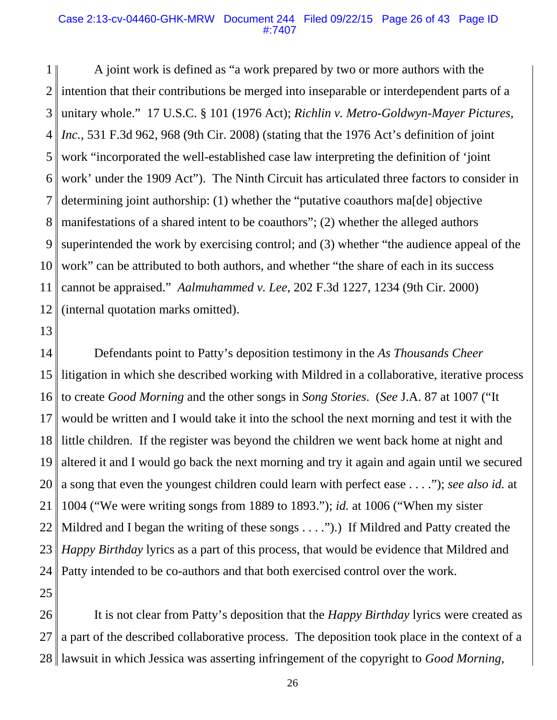#### Case 2:13-cv-04460-GHK-MRW Document 244 Filed 09/22/15 Page 26 of 43 Page ID #:7407

1 2 3 4 5 6 7 8 9 10 11 12 A joint work is defined as "a work prepared by two or more authors with the intention that their contributions be merged into inseparable or interdependent parts of a unitary whole." 17 U.S.C. § 101 (1976 Act); *Richlin v. Metro-Goldwyn-Mayer Pictures, Inc.*, 531 F.3d 962, 968 (9th Cir. 2008) (stating that the 1976 Act's definition of joint work "incorporated the well-established case law interpreting the definition of 'joint work' under the 1909 Act"). The Ninth Circuit has articulated three factors to consider in determining joint authorship: (1) whether the "putative coauthors ma[de] objective manifestations of a shared intent to be coauthors"; (2) whether the alleged authors superintended the work by exercising control; and (3) whether "the audience appeal of the work" can be attributed to both authors, and whether "the share of each in its success cannot be appraised." *Aalmuhammed v. Lee*, 202 F.3d 1227, 1234 (9th Cir. 2000) (internal quotation marks omitted).

13

14 15 16 17 18 19 20 21 22 23 24 Defendants point to Patty's deposition testimony in the *As Thousands Cheer* litigation in which she described working with Mildred in a collaborative, iterative process to create *Good Morning* and the other songs in *Song Stories*. (*See* J.A. 87 at 1007 ("It would be written and I would take it into the school the next morning and test it with the little children. If the register was beyond the children we went back home at night and altered it and I would go back the next morning and try it again and again until we secured a song that even the youngest children could learn with perfect ease . . . ."); *see also id.* at 1004 ("We were writing songs from 1889 to 1893."); *id.* at 1006 ("When my sister Mildred and I began the writing of these songs . . . .").) If Mildred and Patty created the *Happy Birthday* lyrics as a part of this process, that would be evidence that Mildred and Patty intended to be co-authors and that both exercised control over the work.

25

26 27 28 lawsuit in which Jessica was asserting infringement of the copyright to *Good Morning*, It is not clear from Patty's deposition that the *Happy Birthday* lyrics were created as a part of the described collaborative process. The deposition took place in the context of a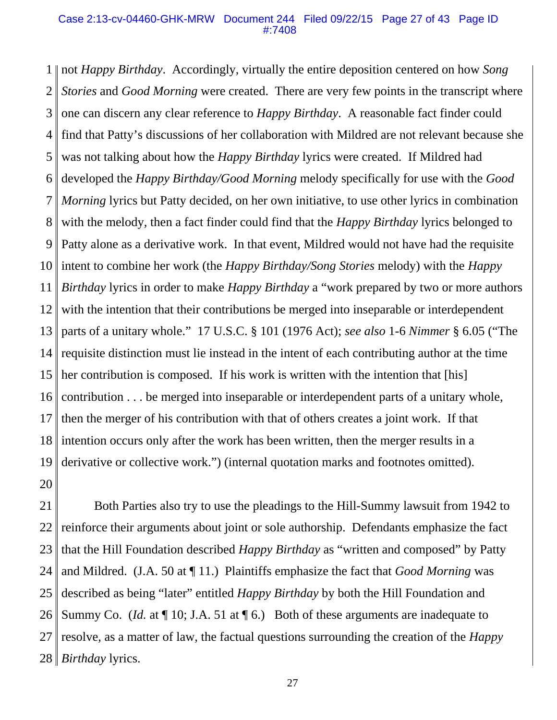#### Case 2:13-cv-04460-GHK-MRW Document 244 Filed 09/22/15 Page 27 of 43 Page ID #:7408

1 2 3 4 5 6 7 8 9 10 11 12 13 14 15 16 17 18 19 20 not *Happy Birthday*. Accordingly, virtually the entire deposition centered on how *Song Stories* and *Good Morning* were created. There are very few points in the transcript where one can discern any clear reference to *Happy Birthday*. A reasonable fact finder could find that Patty's discussions of her collaboration with Mildred are not relevant because she was not talking about how the *Happy Birthday* lyrics were created. If Mildred had developed the *Happy Birthday/Good Morning* melody specifically for use with the *Good Morning* lyrics but Patty decided, on her own initiative, to use other lyrics in combination with the melody, then a fact finder could find that the *Happy Birthday* lyrics belonged to Patty alone as a derivative work. In that event, Mildred would not have had the requisite intent to combine her work (the *Happy Birthday/Song Stories* melody) with the *Happy Birthday* lyrics in order to make *Happy Birthday* a "work prepared by two or more authors with the intention that their contributions be merged into inseparable or interdependent parts of a unitary whole." 17 U.S.C. § 101 (1976 Act); *see also* 1-6 *Nimmer* § 6.05 ("The requisite distinction must lie instead in the intent of each contributing author at the time her contribution is composed. If his work is written with the intention that [his] contribution . . . be merged into inseparable or interdependent parts of a unitary whole, then the merger of his contribution with that of others creates a joint work. If that intention occurs only after the work has been written, then the merger results in a derivative or collective work.") (internal quotation marks and footnotes omitted).

21 22 23 24 25 26 27 28 *Birthday* lyrics. Both Parties also try to use the pleadings to the Hill-Summy lawsuit from 1942 to reinforce their arguments about joint or sole authorship. Defendants emphasize the fact that the Hill Foundation described *Happy Birthday* as "written and composed" by Patty and Mildred. (J.A. 50 at ¶ 11.) Plaintiffs emphasize the fact that *Good Morning* was described as being "later" entitled *Happy Birthday* by both the Hill Foundation and Summy Co. *(Id.* at  $\P$  10; J.A. 51 at  $\P$  6.) Both of these arguments are inadequate to resolve, as a matter of law, the factual questions surrounding the creation of the *Happy*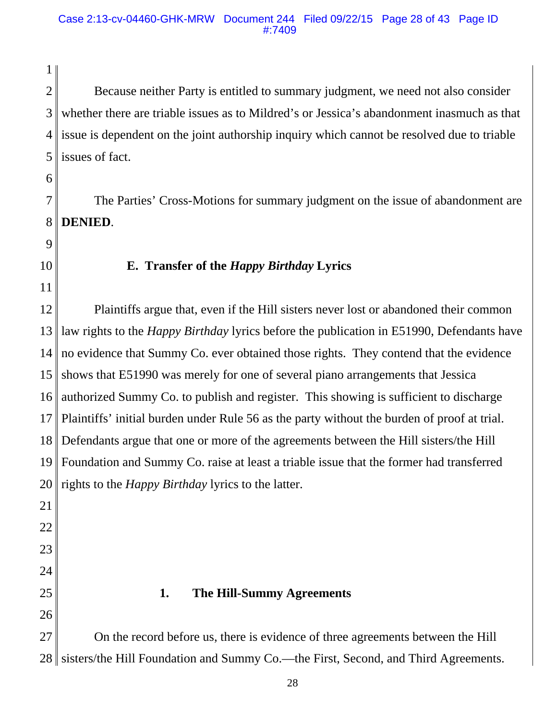2 3 4 5 Because neither Party is entitled to summary judgment, we need not also consider whether there are triable issues as to Mildred's or Jessica's abandonment inasmuch as that issue is dependent on the joint authorship inquiry which cannot be resolved due to triable issues of fact.

6

1

7 8 The Parties' Cross-Motions for summary judgment on the issue of abandonment are **DENIED**.

- 9
- 10

11

# **E. Transfer of the** *Happy Birthday* **Lyrics**

12 13 14 15 16 17 18 19 20 Plaintiffs argue that, even if the Hill sisters never lost or abandoned their common law rights to the *Happy Birthday* lyrics before the publication in E51990, Defendants have no evidence that Summy Co. ever obtained those rights. They contend that the evidence shows that E51990 was merely for one of several piano arrangements that Jessica authorized Summy Co. to publish and register. This showing is sufficient to discharge Plaintiffs' initial burden under Rule 56 as the party without the burden of proof at trial. Defendants argue that one or more of the agreements between the Hill sisters/the Hill Foundation and Summy Co. raise at least a triable issue that the former had transferred rights to the *Happy Birthday* lyrics to the latter.

- 21
- 22
- 23
- 24

26

25

### **1. The Hill-Summy Agreements**

27 28 sisters/the Hill Foundation and Summy Co.—the First, Second, and Third Agreements. On the record before us, there is evidence of three agreements between the Hill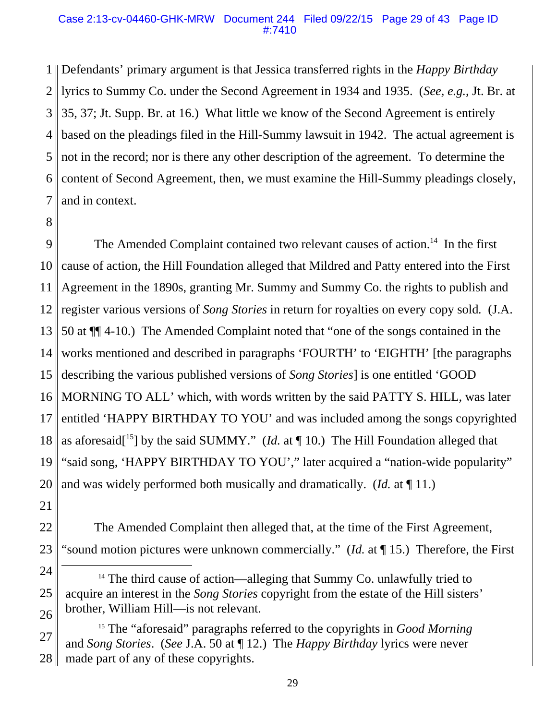#### Case 2:13-cv-04460-GHK-MRW Document 244 Filed 09/22/15 Page 29 of 43 Page ID #:7410

1 Defendants' primary argument is that Jessica transferred rights in the *Happy Birthday* 2 3 4 5 6 7 lyrics to Summy Co. under the Second Agreement in 1934 and 1935. (*See, e.g.*, Jt. Br. at 35, 37; Jt. Supp. Br. at 16.) What little we know of the Second Agreement is entirely based on the pleadings filed in the Hill-Summy lawsuit in 1942. The actual agreement is not in the record; nor is there any other description of the agreement. To determine the content of Second Agreement, then, we must examine the Hill-Summy pleadings closely, and in context.

8

9 10 11 12 13 14 15 16 17 18 19 20 The Amended Complaint contained two relevant causes of action.<sup>14</sup> In the first cause of action, the Hill Foundation alleged that Mildred and Patty entered into the First Agreement in the 1890s, granting Mr. Summy and Summy Co. the rights to publish and register various versions of *Song Stories* in return for royalties on every copy sold*.* (J.A. 50 at ¶¶ 4-10.) The Amended Complaint noted that "one of the songs contained in the works mentioned and described in paragraphs 'FOURTH' to 'EIGHTH' [the paragraphs describing the various published versions of *Song Stories*] is one entitled 'GOOD MORNING TO ALL' which, with words written by the said PATTY S. HILL, was later entitled 'HAPPY BIRTHDAY TO YOU' and was included among the songs copyrighted as aforesaid<sup>[15</sup>] by the said SUMMY." (*Id.* at  $\P$  10.) The Hill Foundation alleged that "said song, 'HAPPY BIRTHDAY TO YOU'," later acquired a "nation-wide popularity" and was widely performed both musically and dramatically. (*Id.* at ¶ 11.)

21

22 23 The Amended Complaint then alleged that, at the time of the First Agreement, "sound motion pictures were unknown commercially." (*Id.* at ¶ 15.) Therefore, the First

- 24 25 26 <sup>14</sup> The third cause of action—alleging that Summy Co. unlawfully tried to acquire an interest in the *Song Stories* copyright from the estate of the Hill sisters' brother, William Hill—is not relevant.
- 27 28 15 The "aforesaid" paragraphs referred to the copyrights in *Good Morning* and *Song Stories*. (*See* J.A. 50 at ¶ 12.) The *Happy Birthday* lyrics were never made part of any of these copyrights.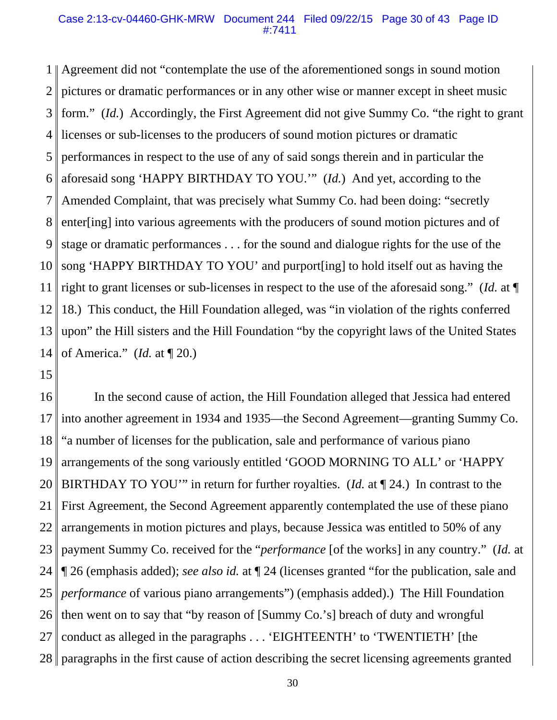#### Case 2:13-cv-04460-GHK-MRW Document 244 Filed 09/22/15 Page 30 of 43 Page ID #:7411

1 2 3 4 5 6 7 8 9 10 11 12 13 14 Agreement did not "contemplate the use of the aforementioned songs in sound motion pictures or dramatic performances or in any other wise or manner except in sheet music form." (*Id.*) Accordingly, the First Agreement did not give Summy Co. "the right to grant licenses or sub-licenses to the producers of sound motion pictures or dramatic performances in respect to the use of any of said songs therein and in particular the aforesaid song 'HAPPY BIRTHDAY TO YOU.'" (*Id.*) And yet, according to the Amended Complaint, that was precisely what Summy Co. had been doing: "secretly enter[ing] into various agreements with the producers of sound motion pictures and of stage or dramatic performances . . . for the sound and dialogue rights for the use of the song 'HAPPY BIRTHDAY TO YOU' and purport[ing] to hold itself out as having the right to grant licenses or sub-licenses in respect to the use of the aforesaid song." (*Id.* at ¶ 18.) This conduct, the Hill Foundation alleged, was "in violation of the rights conferred upon" the Hill sisters and the Hill Foundation "by the copyright laws of the United States of America." (*Id.* at ¶ 20.)

15

16 17 18 19 20 21 22 23 24 25 26 27 28 paragraphs in the first cause of action describing the secret licensing agreements granted In the second cause of action, the Hill Foundation alleged that Jessica had entered into another agreement in 1934 and 1935—the Second Agreement—granting Summy Co. "a number of licenses for the publication, sale and performance of various piano arrangements of the song variously entitled 'GOOD MORNING TO ALL' or 'HAPPY BIRTHDAY TO YOU'" in return for further royalties. (*Id.* at ¶ 24.) In contrast to the First Agreement, the Second Agreement apparently contemplated the use of these piano arrangements in motion pictures and plays, because Jessica was entitled to 50% of any payment Summy Co. received for the "*performance* [of the works] in any country." (*Id.* at ¶ 26 (emphasis added); *see also id.* at ¶ 24 (licenses granted "for the publication, sale and *performance* of various piano arrangements") (emphasis added).) The Hill Foundation then went on to say that "by reason of [Summy Co.'s] breach of duty and wrongful conduct as alleged in the paragraphs . . . 'EIGHTEENTH' to 'TWENTIETH' [the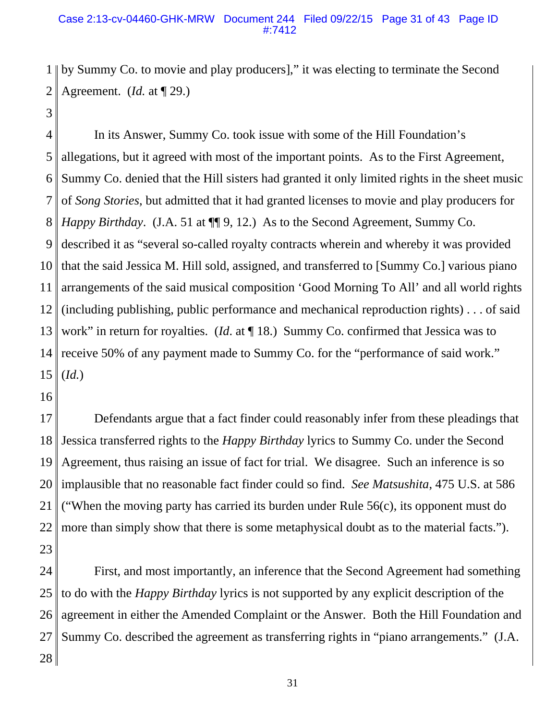### Case 2:13-cv-04460-GHK-MRW Document 244 Filed 09/22/15 Page 31 of 43 Page ID #:7412

1 2 by Summy Co. to movie and play producers]," it was electing to terminate the Second Agreement. (*Id.* at ¶ 29.)

3

4 5 6 7 8 9 10 11 12 13 14 15 In its Answer, Summy Co. took issue with some of the Hill Foundation's allegations, but it agreed with most of the important points. As to the First Agreement, Summy Co. denied that the Hill sisters had granted it only limited rights in the sheet music of *Song Stories*, but admitted that it had granted licenses to movie and play producers for *Happy Birthday.* (J.A. 51 at  $\P\P$  9, 12.) As to the Second Agreement, Summy Co. described it as "several so-called royalty contracts wherein and whereby it was provided that the said Jessica M. Hill sold, assigned, and transferred to [Summy Co.] various piano arrangements of the said musical composition 'Good Morning To All' and all world rights (including publishing, public performance and mechanical reproduction rights) . . . of said work" in return for royalties. (*Id.* at ¶ 18.) Summy Co. confirmed that Jessica was to receive 50% of any payment made to Summy Co. for the "performance of said work." (*Id.*)

16

17 18 19 20 21 22 23 Defendants argue that a fact finder could reasonably infer from these pleadings that Jessica transferred rights to the *Happy Birthday* lyrics to Summy Co. under the Second Agreement, thus raising an issue of fact for trial. We disagree. Such an inference is so implausible that no reasonable fact finder could so find. *See Matsushita*, 475 U.S. at 586 ("When the moving party has carried its burden under Rule  $56(c)$ , its opponent must do more than simply show that there is some metaphysical doubt as to the material facts.").

24 25 26 27 28 First, and most importantly, an inference that the Second Agreement had something to do with the *Happy Birthday* lyrics is not supported by any explicit description of the agreement in either the Amended Complaint or the Answer. Both the Hill Foundation and Summy Co. described the agreement as transferring rights in "piano arrangements." (J.A.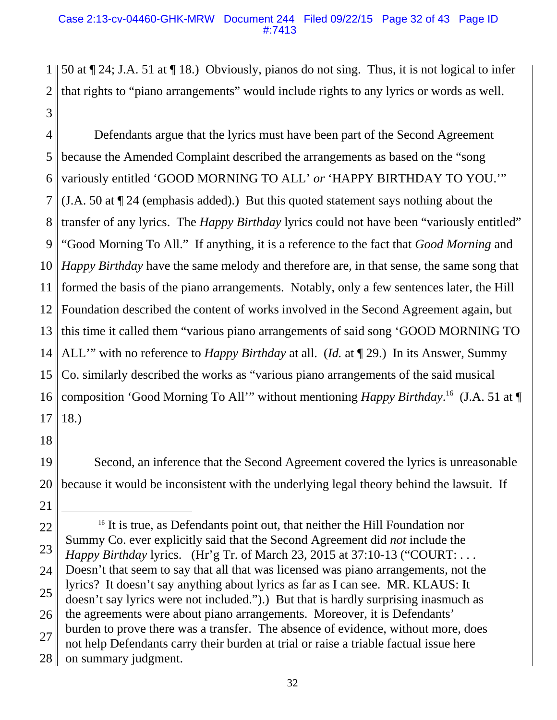1 2 3 50 at ¶ 24; J.A. 51 at ¶ 18.) Obviously, pianos do not sing. Thus, it is not logical to infer that rights to "piano arrangements" would include rights to any lyrics or words as well.

4 5 6 7 8 9 10 11 12 13 14 15 16 17 Defendants argue that the lyrics must have been part of the Second Agreement because the Amended Complaint described the arrangements as based on the "song variously entitled 'GOOD MORNING TO ALL' *or* 'HAPPY BIRTHDAY TO YOU.'" (J.A. 50 at ¶ 24 (emphasis added).) But this quoted statement says nothing about the transfer of any lyrics. The *Happy Birthday* lyrics could not have been "variously entitled" "Good Morning To All." If anything, it is a reference to the fact that *Good Morning* and *Happy Birthday* have the same melody and therefore are, in that sense, the same song that formed the basis of the piano arrangements. Notably, only a few sentences later, the Hill Foundation described the content of works involved in the Second Agreement again, but this time it called them "various piano arrangements of said song 'GOOD MORNING TO ALL'" with no reference to *Happy Birthday* at all. (*Id.* at ¶ 29.) In its Answer, Summy Co. similarly described the works as "various piano arrangements of the said musical composition 'Good Morning To All'" without mentioning *Happy Birthday*. 16 (J.A. 51 at ¶ 18.)

18

21

19 20 Second, an inference that the Second Agreement covered the lyrics is unreasonable because it would be inconsistent with the underlying legal theory behind the lawsuit. If

<sup>22</sup> 23 24 25 26 27 28 <sup>16</sup> It is true, as Defendants point out, that neither the Hill Foundation nor Summy Co. ever explicitly said that the Second Agreement did *not* include the *Happy Birthday* lyrics. (Hr'g Tr. of March 23, 2015 at 37:10-13 ("COURT: . . . Doesn't that seem to say that all that was licensed was piano arrangements, not the lyrics? It doesn't say anything about lyrics as far as I can see. MR. KLAUS: It doesn't say lyrics were not included.").) But that is hardly surprising inasmuch as the agreements were about piano arrangements. Moreover, it is Defendants' burden to prove there was a transfer. The absence of evidence, without more, does not help Defendants carry their burden at trial or raise a triable factual issue here on summary judgment.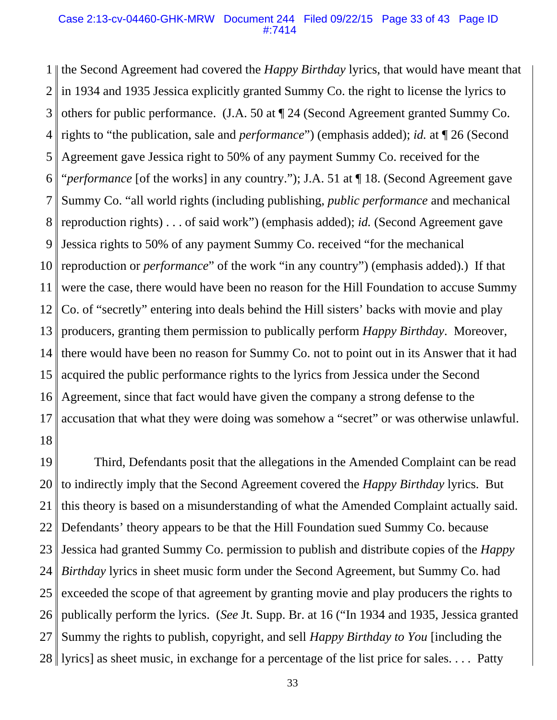#### Case 2:13-cv-04460-GHK-MRW Document 244 Filed 09/22/15 Page 33 of 43 Page ID #:7414

1 2 3 4 5 6 7 8 9 10 11 12 13 14 15 16 17 18 the Second Agreement had covered the *Happy Birthday* lyrics, that would have meant that in 1934 and 1935 Jessica explicitly granted Summy Co. the right to license the lyrics to others for public performance. (J.A. 50 at ¶ 24 (Second Agreement granted Summy Co. rights to "the publication, sale and *performance*") (emphasis added); *id.* at ¶ 26 (Second Agreement gave Jessica right to 50% of any payment Summy Co. received for the "*performance* [of the works] in any country."); J.A. 51 at ¶ 18. (Second Agreement gave Summy Co. "all world rights (including publishing, *public performance* and mechanical reproduction rights) . . . of said work") (emphasis added); *id.* (Second Agreement gave Jessica rights to 50% of any payment Summy Co. received "for the mechanical reproduction or *performance*" of the work "in any country") (emphasis added).) If that were the case, there would have been no reason for the Hill Foundation to accuse Summy Co. of "secretly" entering into deals behind the Hill sisters' backs with movie and play producers, granting them permission to publically perform *Happy Birthday*. Moreover, there would have been no reason for Summy Co. not to point out in its Answer that it had acquired the public performance rights to the lyrics from Jessica under the Second Agreement, since that fact would have given the company a strong defense to the accusation that what they were doing was somehow a "secret" or was otherwise unlawful.

19 20 21 22 23 24 25 26 27 28 lyrics] as sheet music, in exchange for a percentage of the list price for sales. . . . Patty Third, Defendants posit that the allegations in the Amended Complaint can be read to indirectly imply that the Second Agreement covered the *Happy Birthday* lyrics. But this theory is based on a misunderstanding of what the Amended Complaint actually said. Defendants' theory appears to be that the Hill Foundation sued Summy Co. because Jessica had granted Summy Co. permission to publish and distribute copies of the *Happy Birthday* lyrics in sheet music form under the Second Agreement, but Summy Co. had exceeded the scope of that agreement by granting movie and play producers the rights to publically perform the lyrics. (*See* Jt. Supp. Br. at 16 ("In 1934 and 1935, Jessica granted Summy the rights to publish, copyright, and sell *Happy Birthday to You* [including the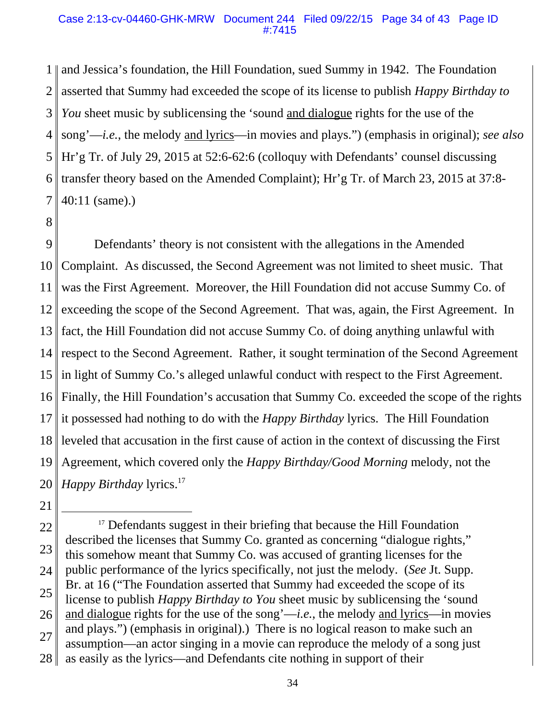#### Case 2:13-cv-04460-GHK-MRW Document 244 Filed 09/22/15 Page 34 of 43 Page ID #:7415

1 2 3 4 5 6 7 and Jessica's foundation, the Hill Foundation, sued Summy in 1942. The Foundation asserted that Summy had exceeded the scope of its license to publish *Happy Birthday to You* sheet music by sublicensing the 'sound and dialogue rights for the use of the song'—*i.e.*, the melody and lyrics—in movies and plays.") (emphasis in original); *see also* Hr'g Tr. of July 29, 2015 at 52:6-62:6 (colloquy with Defendants' counsel discussing transfer theory based on the Amended Complaint); Hr'g Tr. of March 23, 2015 at 37:8- 40:11 (same).)

8

9 10 11 12 13 14 15 16 17 18 19 20 Defendants' theory is not consistent with the allegations in the Amended Complaint. As discussed, the Second Agreement was not limited to sheet music. That was the First Agreement. Moreover, the Hill Foundation did not accuse Summy Co. of exceeding the scope of the Second Agreement. That was, again, the First Agreement. In fact, the Hill Foundation did not accuse Summy Co. of doing anything unlawful with respect to the Second Agreement. Rather, it sought termination of the Second Agreement in light of Summy Co.'s alleged unlawful conduct with respect to the First Agreement. Finally, the Hill Foundation's accusation that Summy Co. exceeded the scope of the rights it possessed had nothing to do with the *Happy Birthday* lyrics. The Hill Foundation leveled that accusation in the first cause of action in the context of discussing the First Agreement, which covered only the *Happy Birthday/Good Morning* melody, not the *Happy Birthday lyrics.*<sup>17</sup>

<sup>22</sup> 23 24 25 26 27 28 <sup>17</sup> Defendants suggest in their briefing that because the Hill Foundation described the licenses that Summy Co. granted as concerning "dialogue rights," this somehow meant that Summy Co. was accused of granting licenses for the public performance of the lyrics specifically, not just the melody. (*See* Jt. Supp. Br. at 16 ("The Foundation asserted that Summy had exceeded the scope of its license to publish *Happy Birthday to You* sheet music by sublicensing the 'sound and dialogue rights for the use of the song'—*i.e.*, the melody and lyrics—in movies and plays.") (emphasis in original).) There is no logical reason to make such an assumption—an actor singing in a movie can reproduce the melody of a song just as easily as the lyrics—and Defendants cite nothing in support of their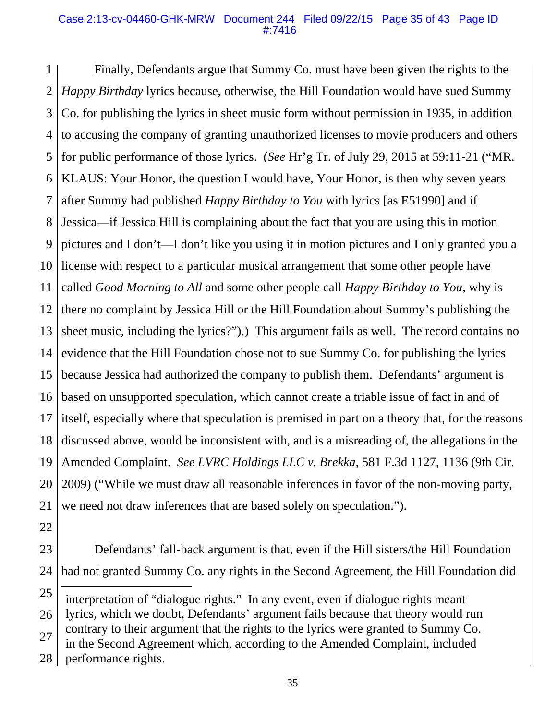#### Case 2:13-cv-04460-GHK-MRW Document 244 Filed 09/22/15 Page 35 of 43 Page ID #:7416

1 2 3 4 5 6 7 8 9 10 11 12 13 14 15 16 17 18 19 20 21 Finally, Defendants argue that Summy Co. must have been given the rights to the *Happy Birthday* lyrics because, otherwise, the Hill Foundation would have sued Summy Co. for publishing the lyrics in sheet music form without permission in 1935, in addition to accusing the company of granting unauthorized licenses to movie producers and others for public performance of those lyrics. (*See* Hr'g Tr. of July 29, 2015 at 59:11-21 ("MR. KLAUS: Your Honor, the question I would have, Your Honor, is then why seven years after Summy had published *Happy Birthday to You* with lyrics [as E51990] and if Jessica—if Jessica Hill is complaining about the fact that you are using this in motion pictures and I don't—I don't like you using it in motion pictures and I only granted you a license with respect to a particular musical arrangement that some other people have called *Good Morning to All* and some other people call *Happy Birthday to You*, why is there no complaint by Jessica Hill or the Hill Foundation about Summy's publishing the sheet music, including the lyrics?").) This argument fails as well. The record contains no evidence that the Hill Foundation chose not to sue Summy Co. for publishing the lyrics because Jessica had authorized the company to publish them. Defendants' argument is based on unsupported speculation, which cannot create a triable issue of fact in and of itself, especially where that speculation is premised in part on a theory that, for the reasons discussed above, would be inconsistent with, and is a misreading of, the allegations in the Amended Complaint. *See LVRC Holdings LLC v. Brekka*, 581 F.3d 1127, 1136 (9th Cir. 2009) ("While we must draw all reasonable inferences in favor of the non-moving party, we need not draw inferences that are based solely on speculation.").

- 22
- 23 24 Defendants' fall-back argument is that, even if the Hill sisters/the Hill Foundation had not granted Summy Co. any rights in the Second Agreement, the Hill Foundation did

in the Second Agreement which, according to the Amended Complaint, included

<sup>25</sup> interpretation of "dialogue rights." In any event, even if dialogue rights meant

<sup>26</sup> lyrics, which we doubt, Defendants' argument fails because that theory would run

<sup>27</sup> contrary to their argument that the rights to the lyrics were granted to Summy Co.

<sup>28</sup> performance rights.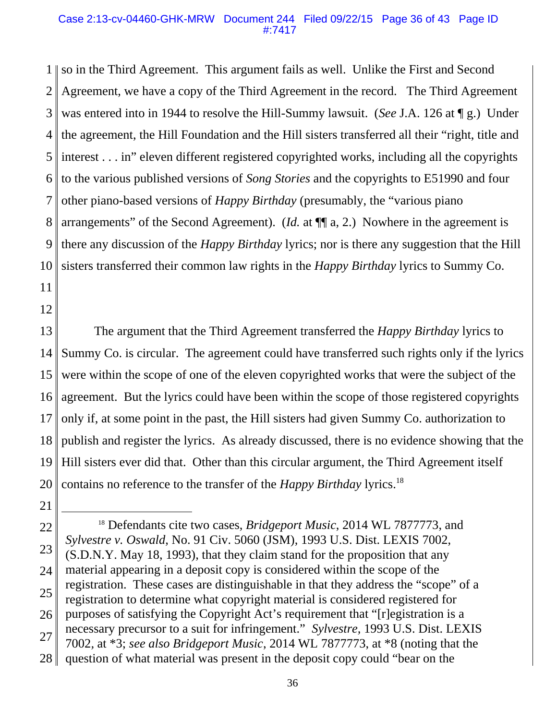#### Case 2:13-cv-04460-GHK-MRW Document 244 Filed 09/22/15 Page 36 of 43 Page ID #:7417

1 2 3 4 5 6 7 8 9 10 11 so in the Third Agreement. This argument fails as well. Unlike the First and Second Agreement, we have a copy of the Third Agreement in the record. The Third Agreement was entered into in 1944 to resolve the Hill-Summy lawsuit. (*See* J.A. 126 at ¶ g.) Under the agreement, the Hill Foundation and the Hill sisters transferred all their "right, title and interest . . . in" eleven different registered copyrighted works, including all the copyrights to the various published versions of *Song Stories* and the copyrights to E51990 and four other piano-based versions of *Happy Birthday* (presumably, the "various piano arrangements" of the Second Agreement). (*Id.* at ¶¶ a, 2.) Nowhere in the agreement is there any discussion of the *Happy Birthday* lyrics; nor is there any suggestion that the Hill sisters transferred their common law rights in the *Happy Birthday* lyrics to Summy Co.

12

13 14 15 16 17 18 19 20 The argument that the Third Agreement transferred the *Happy Birthday* lyrics to Summy Co. is circular. The agreement could have transferred such rights only if the lyrics were within the scope of one of the eleven copyrighted works that were the subject of the agreement. But the lyrics could have been within the scope of those registered copyrights only if, at some point in the past, the Hill sisters had given Summy Co. authorization to publish and register the lyrics. As already discussed, there is no evidence showing that the Hill sisters ever did that. Other than this circular argument, the Third Agreement itself contains no reference to the transfer of the *Happy Birthday* lyrics.18

<sup>22</sup> 23 24 25 26 27 28 18 Defendants cite two cases, *Bridgeport Music*, 2014 WL 7877773, and *Sylvestre v. Oswald*, No. 91 Civ. 5060 (JSM), 1993 U.S. Dist. LEXIS 7002, (S.D.N.Y. May 18, 1993), that they claim stand for the proposition that any material appearing in a deposit copy is considered within the scope of the registration. These cases are distinguishable in that they address the "scope" of a registration to determine what copyright material is considered registered for purposes of satisfying the Copyright Act's requirement that "[r]egistration is a necessary precursor to a suit for infringement." *Sylvestre,* 1993 U.S. Dist. LEXIS 7002*,* at \*3; *see also Bridgeport Music*, 2014 WL 7877773, at \*8 (noting that the question of what material was present in the deposit copy could "bear on the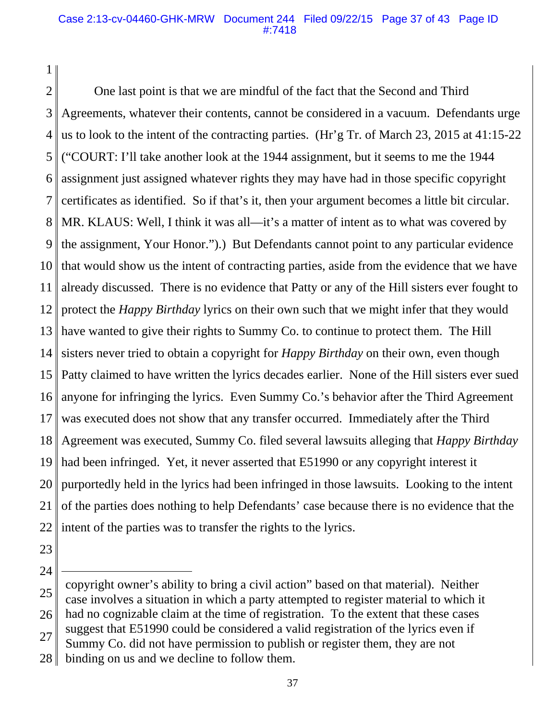### Case 2:13-cv-04460-GHK-MRW Document 244 Filed 09/22/15 Page 37 of 43 Page ID #:7418

1 2 3

4 5 6 7 8 9 10 11 12 13 14 15 16 17 18 19 20 21 22 One last point is that we are mindful of the fact that the Second and Third Agreements, whatever their contents, cannot be considered in a vacuum. Defendants urge us to look to the intent of the contracting parties. (Hr'g Tr. of March 23, 2015 at 41:15-22 ("COURT: I'll take another look at the 1944 assignment, but it seems to me the 1944 assignment just assigned whatever rights they may have had in those specific copyright certificates as identified. So if that's it, then your argument becomes a little bit circular. MR. KLAUS: Well, I think it was all—it's a matter of intent as to what was covered by the assignment, Your Honor.").) But Defendants cannot point to any particular evidence that would show us the intent of contracting parties, aside from the evidence that we have already discussed. There is no evidence that Patty or any of the Hill sisters ever fought to protect the *Happy Birthday* lyrics on their own such that we might infer that they would have wanted to give their rights to Summy Co. to continue to protect them. The Hill sisters never tried to obtain a copyright for *Happy Birthday* on their own, even though Patty claimed to have written the lyrics decades earlier. None of the Hill sisters ever sued anyone for infringing the lyrics. Even Summy Co.'s behavior after the Third Agreement was executed does not show that any transfer occurred. Immediately after the Third Agreement was executed, Summy Co. filed several lawsuits alleging that *Happy Birthday* had been infringed. Yet, it never asserted that E51990 or any copyright interest it purportedly held in the lyrics had been infringed in those lawsuits. Looking to the intent of the parties does nothing to help Defendants' case because there is no evidence that the intent of the parties was to transfer the rights to the lyrics.

23

24

28 binding on us and we decline to follow them.

<sup>25</sup> 26 27 copyright owner's ability to bring a civil action" based on that material). Neither case involves a situation in which a party attempted to register material to which it had no cognizable claim at the time of registration. To the extent that these cases suggest that E51990 could be considered a valid registration of the lyrics even if

Summy Co. did not have permission to publish or register them, they are not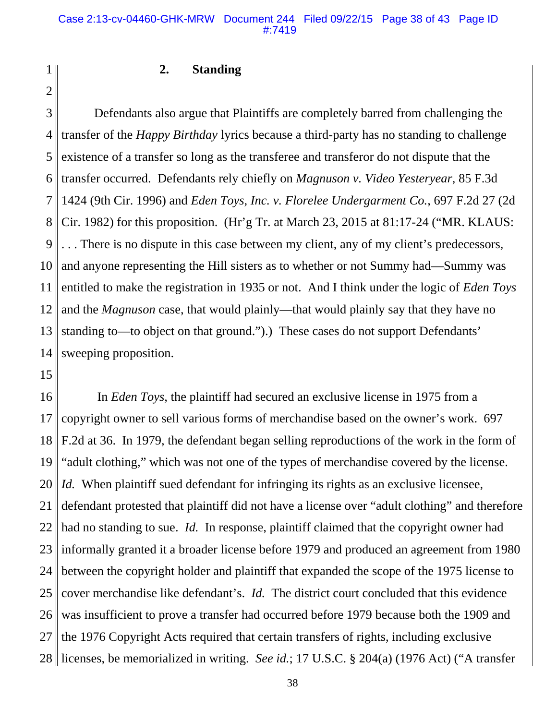### **2. Standing**

3 4 5 6 7 8 9 10 11 12 13 14 Defendants also argue that Plaintiffs are completely barred from challenging the transfer of the *Happy Birthday* lyrics because a third-party has no standing to challenge existence of a transfer so long as the transferee and transferor do not dispute that the transfer occurred. Defendants rely chiefly on *Magnuson v. Video Yesteryear*, 85 F.3d 1424 (9th Cir. 1996) and *Eden Toys, Inc. v. Florelee Undergarment Co.*, 697 F.2d 27 (2d Cir. 1982) for this proposition. (Hr'g Tr. at March 23, 2015 at 81:17-24 ("MR. KLAUS: . . . There is no dispute in this case between my client, any of my client's predecessors, and anyone representing the Hill sisters as to whether or not Summy had—Summy was entitled to make the registration in 1935 or not. And I think under the logic of *Eden Toys* and the *Magnuson* case, that would plainly—that would plainly say that they have no standing to—to object on that ground.").) These cases do not support Defendants' sweeping proposition.

15

1

2

16 17 18 19 20 21 22 23 24 25 26 27 28 licenses, be memorialized in writing. *See id.*; 17 U.S.C. § 204(a) (1976 Act) ("A transfer In *Eden Toys*, the plaintiff had secured an exclusive license in 1975 from a copyright owner to sell various forms of merchandise based on the owner's work. 697 F.2d at 36. In 1979, the defendant began selling reproductions of the work in the form of "adult clothing," which was not one of the types of merchandise covered by the license. *Id.* When plaintiff sued defendant for infringing its rights as an exclusive licensee, defendant protested that plaintiff did not have a license over "adult clothing" and therefore had no standing to sue. *Id.* In response, plaintiff claimed that the copyright owner had informally granted it a broader license before 1979 and produced an agreement from 1980 between the copyright holder and plaintiff that expanded the scope of the 1975 license to cover merchandise like defendant's. *Id.* The district court concluded that this evidence was insufficient to prove a transfer had occurred before 1979 because both the 1909 and the 1976 Copyright Acts required that certain transfers of rights, including exclusive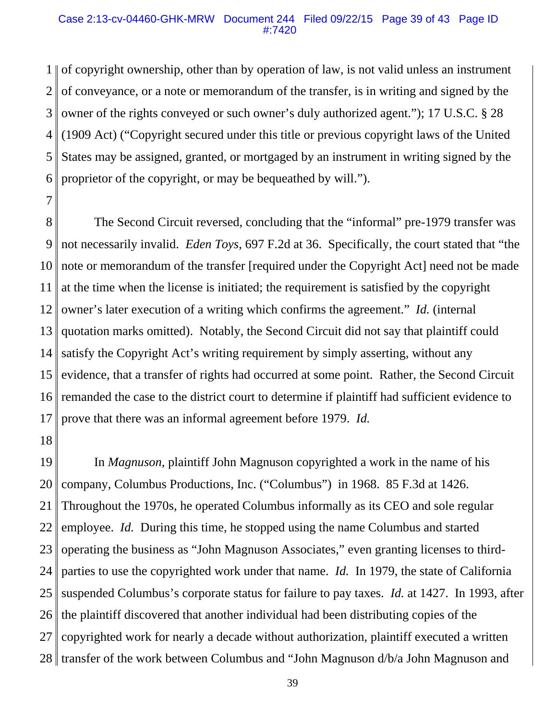#### Case 2:13-cv-04460-GHK-MRW Document 244 Filed 09/22/15 Page 39 of 43 Page ID #:7420

1 2 3 4 5 6 of copyright ownership, other than by operation of law, is not valid unless an instrument of conveyance, or a note or memorandum of the transfer, is in writing and signed by the owner of the rights conveyed or such owner's duly authorized agent."); 17 U.S.C. § 28 (1909 Act) ("Copyright secured under this title or previous copyright laws of the United States may be assigned, granted, or mortgaged by an instrument in writing signed by the proprietor of the copyright, or may be bequeathed by will.").

7

8 9 10 11 12 13 14 15 16 17 The Second Circuit reversed, concluding that the "informal" pre-1979 transfer was not necessarily invalid. *Eden Toys*, 697 F.2d at 36. Specifically, the court stated that "the note or memorandum of the transfer [required under the Copyright Act] need not be made at the time when the license is initiated; the requirement is satisfied by the copyright owner's later execution of a writing which confirms the agreement." *Id.* (internal quotation marks omitted). Notably, the Second Circuit did not say that plaintiff could satisfy the Copyright Act's writing requirement by simply asserting, without any evidence, that a transfer of rights had occurred at some point. Rather, the Second Circuit remanded the case to the district court to determine if plaintiff had sufficient evidence to prove that there was an informal agreement before 1979. *Id.*

18

19 20 21 22 23 24 25 26 27 28 || transfer of the work between Columbus and "John Magnuson d/b/a John Magnuson and In *Magnuson*, plaintiff John Magnuson copyrighted a work in the name of his company, Columbus Productions, Inc. ("Columbus") in 1968. 85 F.3d at 1426. Throughout the 1970s, he operated Columbus informally as its CEO and sole regular employee. *Id.* During this time, he stopped using the name Columbus and started operating the business as "John Magnuson Associates," even granting licenses to thirdparties to use the copyrighted work under that name. *Id.* In 1979, the state of California suspended Columbus's corporate status for failure to pay taxes. *Id.* at 1427. In 1993, after the plaintiff discovered that another individual had been distributing copies of the copyrighted work for nearly a decade without authorization, plaintiff executed a written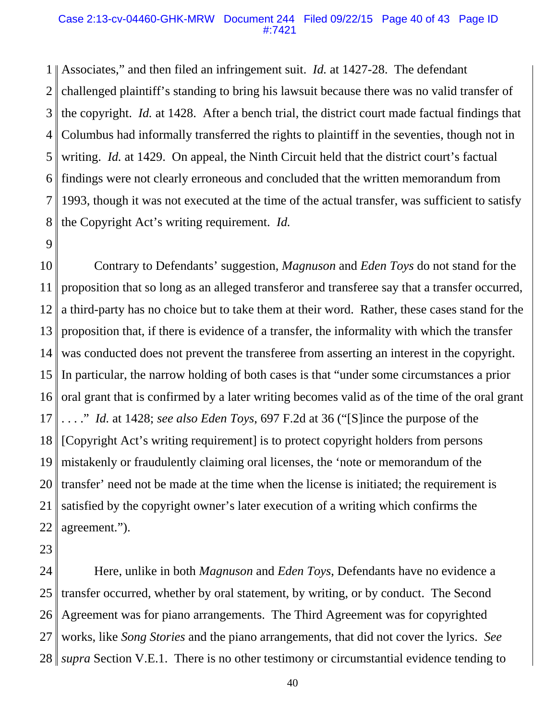#### Case 2:13-cv-04460-GHK-MRW Document 244 Filed 09/22/15 Page 40 of 43 Page ID #:7421

1 2 3 4 5 6 7 8 Associates," and then filed an infringement suit. *Id.* at 1427-28. The defendant challenged plaintiff's standing to bring his lawsuit because there was no valid transfer of the copyright. *Id.* at 1428. After a bench trial, the district court made factual findings that Columbus had informally transferred the rights to plaintiff in the seventies, though not in writing. *Id.* at 1429. On appeal, the Ninth Circuit held that the district court's factual findings were not clearly erroneous and concluded that the written memorandum from 1993, though it was not executed at the time of the actual transfer, was sufficient to satisfy the Copyright Act's writing requirement. *Id.*

9

10 11 12 13 14 15 16 17 18 19 20 21 22 Contrary to Defendants' suggestion, *Magnuson* and *Eden Toys* do not stand for the proposition that so long as an alleged transferor and transferee say that a transfer occurred, a third-party has no choice but to take them at their word. Rather, these cases stand for the proposition that, if there is evidence of a transfer, the informality with which the transfer was conducted does not prevent the transferee from asserting an interest in the copyright. In particular, the narrow holding of both cases is that "under some circumstances a prior oral grant that is confirmed by a later writing becomes valid as of the time of the oral grant . . . ." *Id.* at 1428; *see also Eden Toys*, 697 F.2d at 36 ("[S]ince the purpose of the [Copyright Act's writing requirement] is to protect copyright holders from persons mistakenly or fraudulently claiming oral licenses, the 'note or memorandum of the transfer' need not be made at the time when the license is initiated; the requirement is satisfied by the copyright owner's later execution of a writing which confirms the agreement.").

23

24 25 26 27 28 Here, unlike in both *Magnuson* and *Eden Toys*, Defendants have no evidence a transfer occurred, whether by oral statement, by writing, or by conduct. The Second Agreement was for piano arrangements. The Third Agreement was for copyrighted works, like *Song Stories* and the piano arrangements, that did not cover the lyrics. *See supra* Section V.E.1. There is no other testimony or circumstantial evidence tending to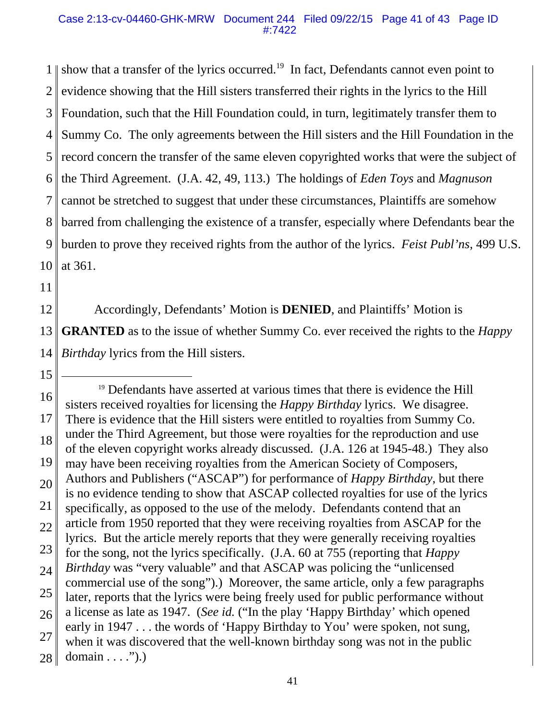1 2 3 4 5 6 7 8 9 10 show that a transfer of the lyrics occurred.<sup>19</sup> In fact, Defendants cannot even point to evidence showing that the Hill sisters transferred their rights in the lyrics to the Hill Foundation, such that the Hill Foundation could, in turn, legitimately transfer them to Summy Co. The only agreements between the Hill sisters and the Hill Foundation in the record concern the transfer of the same eleven copyrighted works that were the subject of the Third Agreement. (J.A. 42, 49, 113.) The holdings of *Eden Toys* and *Magnuson* cannot be stretched to suggest that under these circumstances, Plaintiffs are somehow barred from challenging the existence of a transfer, especially where Defendants bear the burden to prove they received rights from the author of the lyrics. *Feist Publ'ns*, 499 U.S. at 361.

- 11
- 12

13 14 Accordingly, Defendants' Motion is **DENIED**, and Plaintiffs' Motion is **GRANTED** as to the issue of whether Summy Co. ever received the rights to the *Happy Birthday* lyrics from the Hill sisters.

<sup>16</sup> 17 18 19 20 21 22 23 24 25 26 27 28 <sup>19</sup> Defendants have asserted at various times that there is evidence the Hill sisters received royalties for licensing the *Happy Birthday* lyrics. We disagree. There is evidence that the Hill sisters were entitled to royalties from Summy Co. under the Third Agreement, but those were royalties for the reproduction and use of the eleven copyright works already discussed. (J.A. 126 at 1945-48.) They also may have been receiving royalties from the American Society of Composers, Authors and Publishers ("ASCAP") for performance of *Happy Birthday*, but there is no evidence tending to show that ASCAP collected royalties for use of the lyrics specifically, as opposed to the use of the melody. Defendants contend that an article from 1950 reported that they were receiving royalties from ASCAP for the lyrics. But the article merely reports that they were generally receiving royalties for the song, not the lyrics specifically. (J.A. 60 at 755 (reporting that *Happy Birthday* was "very valuable" and that ASCAP was policing the "unlicensed commercial use of the song").) Moreover, the same article, only a few paragraphs later, reports that the lyrics were being freely used for public performance without a license as late as 1947. (*See id.* ("In the play 'Happy Birthday' which opened early in 1947 . . . the words of 'Happy Birthday to You' were spoken, not sung, when it was discovered that the well-known birthday song was not in the public domain  $\dots$  .").)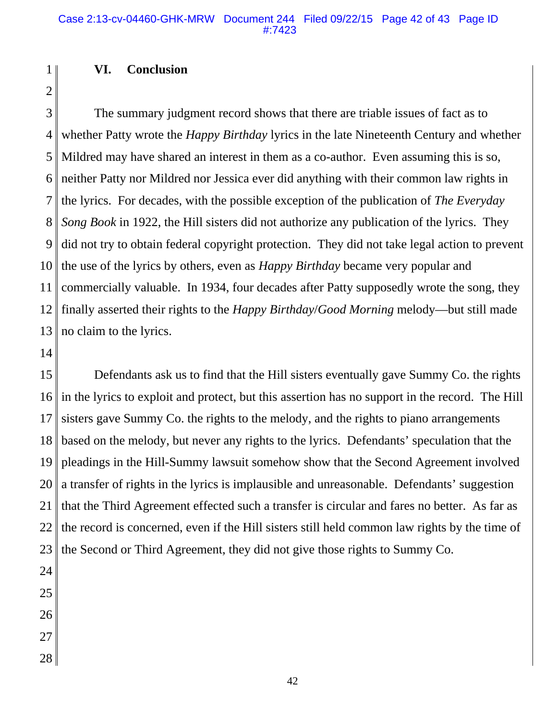#### Case 2:13-cv-04460-GHK-MRW Document 244 Filed 09/22/15 Page 42 of 43 Page ID #:7423

### **VI. Conclusion**

2 3

1

4 5 6 7 8 9 10 11 12 13 The summary judgment record shows that there are triable issues of fact as to whether Patty wrote the *Happy Birthday* lyrics in the late Nineteenth Century and whether Mildred may have shared an interest in them as a co-author. Even assuming this is so, neither Patty nor Mildred nor Jessica ever did anything with their common law rights in the lyrics. For decades, with the possible exception of the publication of *The Everyday Song Book* in 1922, the Hill sisters did not authorize any publication of the lyrics. They did not try to obtain federal copyright protection. They did not take legal action to prevent the use of the lyrics by others, even as *Happy Birthday* became very popular and commercially valuable. In 1934, four decades after Patty supposedly wrote the song, they finally asserted their rights to the *Happy Birthday*/*Good Morning* melody—but still made no claim to the lyrics.

14

15 16 17 18 19 20 21 22 23 Defendants ask us to find that the Hill sisters eventually gave Summy Co. the rights in the lyrics to exploit and protect, but this assertion has no support in the record. The Hill sisters gave Summy Co. the rights to the melody, and the rights to piano arrangements based on the melody, but never any rights to the lyrics. Defendants' speculation that the pleadings in the Hill-Summy lawsuit somehow show that the Second Agreement involved a transfer of rights in the lyrics is implausible and unreasonable. Defendants' suggestion that the Third Agreement effected such a transfer is circular and fares no better. As far as the record is concerned, even if the Hill sisters still held common law rights by the time of the Second or Third Agreement, they did not give those rights to Summy Co.

- 26
- 
- 27
- 28